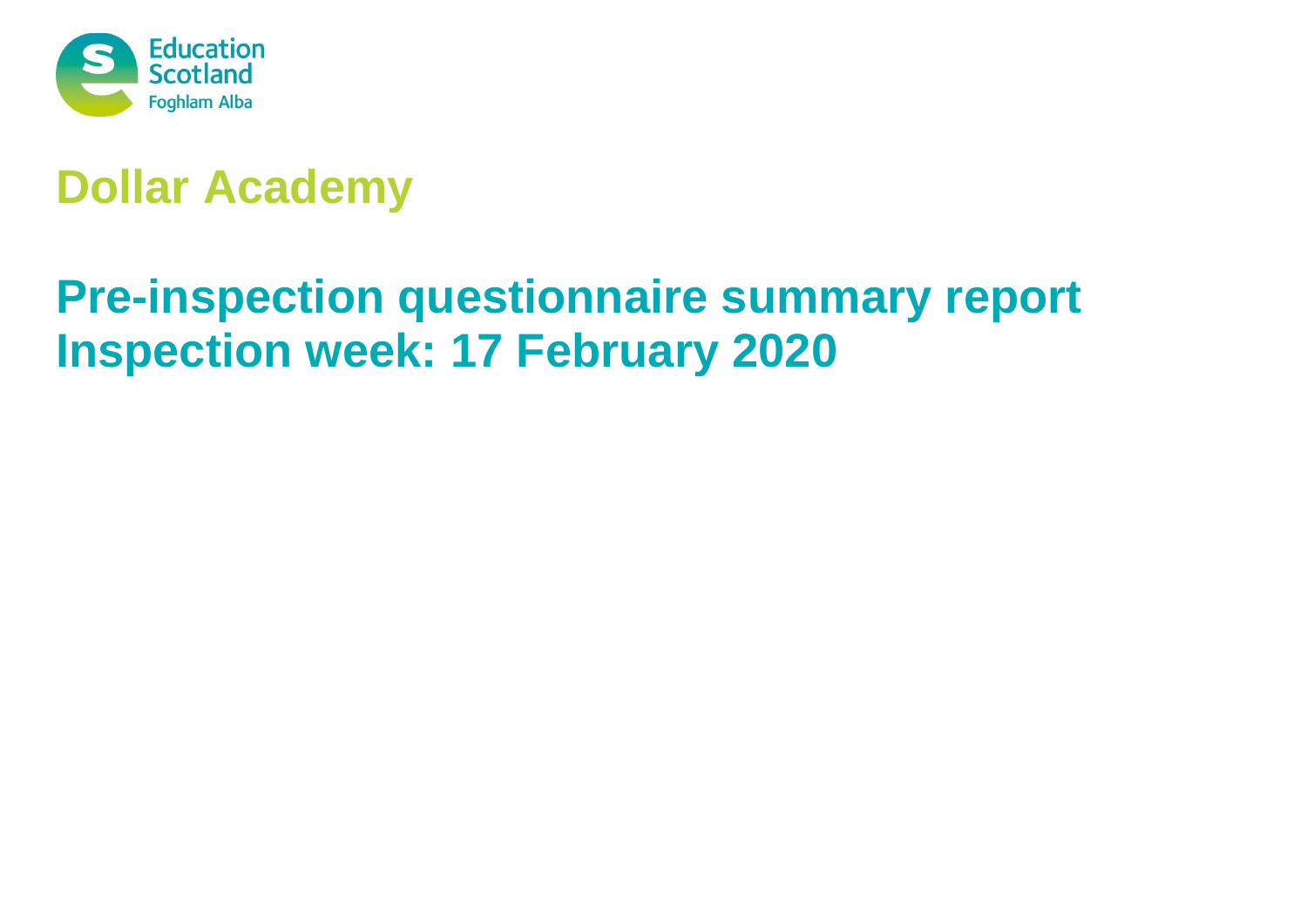

# **Dollar Academy**

# **Pre-inspection questionnaire summary report Inspection week: 17 February 2020**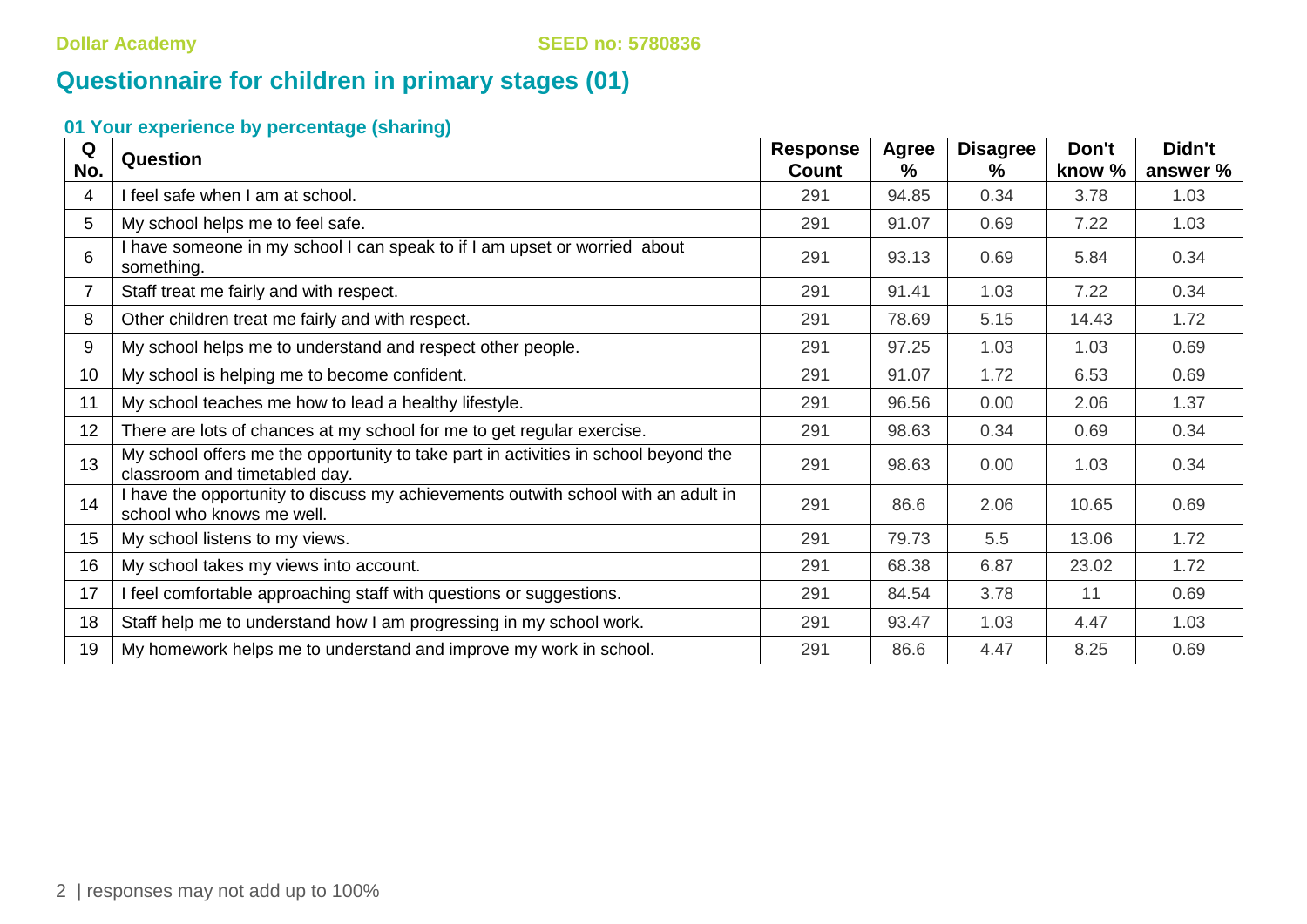# **Questionnaire for children in primary stages (01)**

| Q   | Question                                                                                                             | <b>Response</b> | <b>Agree</b> | <b>Disagree</b> | Don't  | Didn't   |
|-----|----------------------------------------------------------------------------------------------------------------------|-----------------|--------------|-----------------|--------|----------|
| No. |                                                                                                                      | <b>Count</b>    | ℅            | %               | know % | answer % |
| 4   | I feel safe when I am at school.                                                                                     | 291             | 94.85        | 0.34            | 3.78   | 1.03     |
| 5   | My school helps me to feel safe.                                                                                     | 291             | 91.07        | 0.69            | 7.22   | 1.03     |
| 6   | I have someone in my school I can speak to if I am upset or worried about<br>something.                              | 291             | 93.13        | 0.69            | 5.84   | 0.34     |
| 7   | Staff treat me fairly and with respect.                                                                              | 291             | 91.41        | 1.03            | 7.22   | 0.34     |
| 8   | Other children treat me fairly and with respect.                                                                     | 291             | 78.69        | 5.15            | 14.43  | 1.72     |
| 9   | My school helps me to understand and respect other people.                                                           | 291             | 97.25        | 1.03            | 1.03   | 0.69     |
| 10  | My school is helping me to become confident.                                                                         | 291             | 91.07        | 1.72            | 6.53   | 0.69     |
| 11  | My school teaches me how to lead a healthy lifestyle.                                                                | 291             | 96.56        | 0.00            | 2.06   | 1.37     |
| 12  | There are lots of chances at my school for me to get regular exercise.                                               | 291             | 98.63        | 0.34            | 0.69   | 0.34     |
| 13  | My school offers me the opportunity to take part in activities in school beyond the<br>classroom and timetabled day. | 291             | 98.63        | 0.00            | 1.03   | 0.34     |
| 14  | I have the opportunity to discuss my achievements outwith school with an adult in<br>school who knows me well.       | 291             | 86.6         | 2.06            | 10.65  | 0.69     |
| 15  | My school listens to my views.                                                                                       | 291             | 79.73        | 5.5             | 13.06  | 1.72     |
| 16  | My school takes my views into account.                                                                               | 291             | 68.38        | 6.87            | 23.02  | 1.72     |
| 17  | I feel comfortable approaching staff with questions or suggestions.                                                  | 291             | 84.54        | 3.78            | 11     | 0.69     |
| 18  | Staff help me to understand how I am progressing in my school work.                                                  | 291             | 93.47        | 1.03            | 4.47   | 1.03     |
| 19  | My homework helps me to understand and improve my work in school.                                                    | 291             | 86.6         | 4.47            | 8.25   | 0.69     |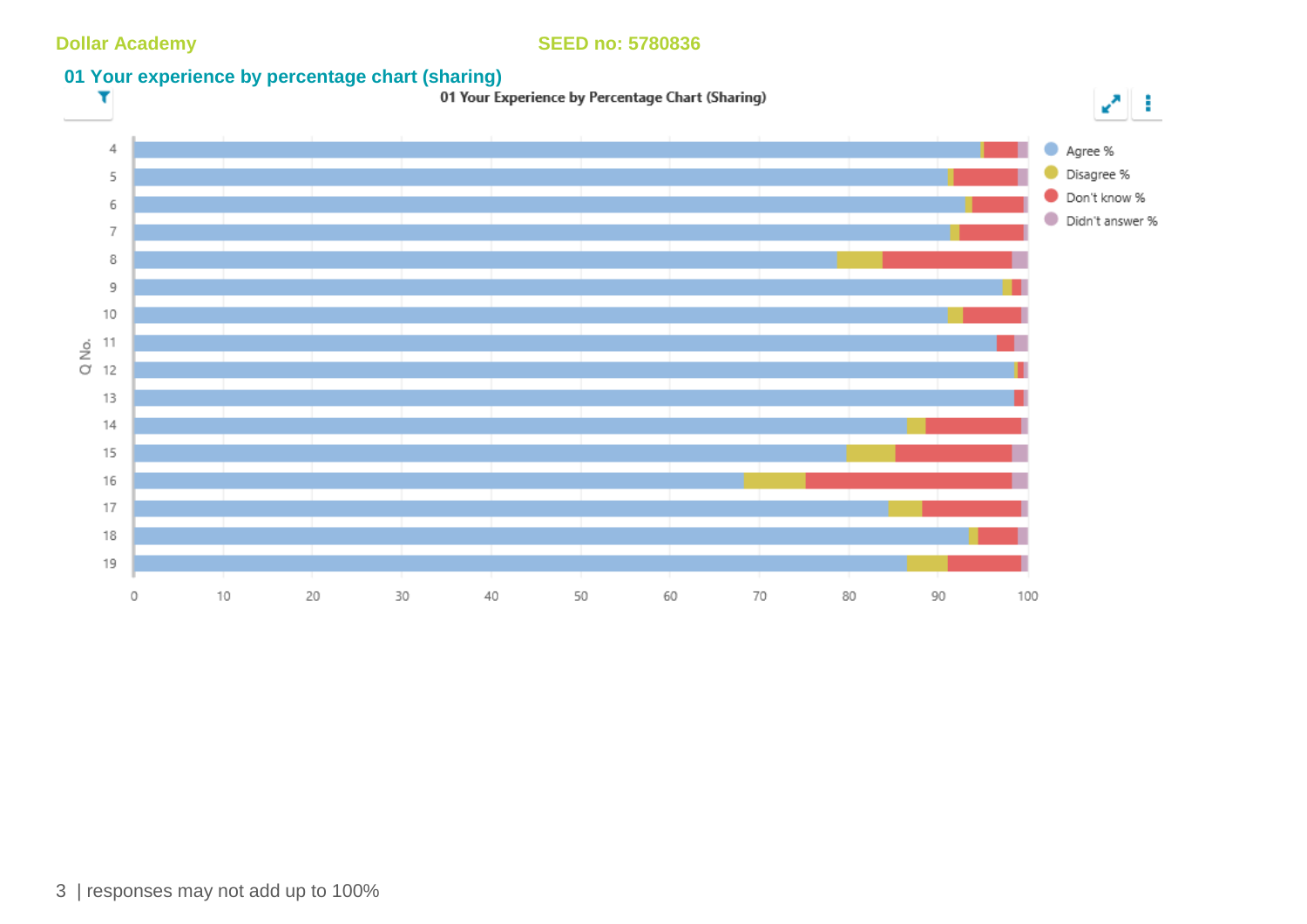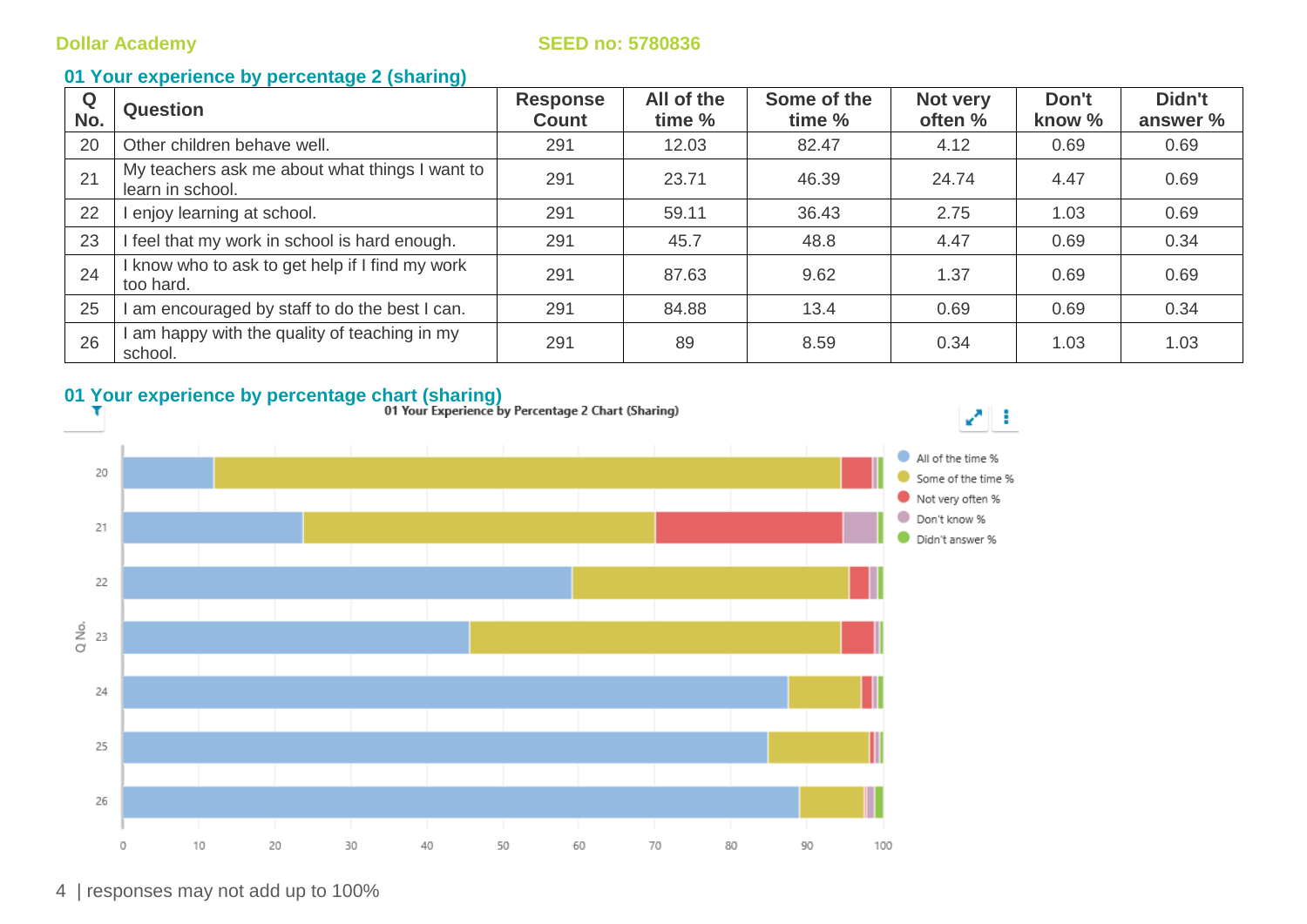### **01 Your experience by percentage 2 (sharing)**

| Q<br>No. | <b>Question</b>                                                    | <b>Response</b><br><b>Count</b> | All of the<br>time % | Some of the<br>time % | Not very<br>often % | Don't<br>know % | Didn't<br>answer % |
|----------|--------------------------------------------------------------------|---------------------------------|----------------------|-----------------------|---------------------|-----------------|--------------------|
| 20       | Other children behave well.                                        | 291                             | 12.03                | 82.47                 | 4.12                | 0.69            | 0.69               |
| 21       | My teachers ask me about what things I want to<br>learn in school. | 291                             | 23.71                | 46.39                 | 24.74               | 4.47            | 0.69               |
| 22       | l enjoy learning at school.                                        | 291                             | 59.11                | 36.43                 | 2.75                | 1.03            | 0.69               |
| 23       | I feel that my work in school is hard enough.                      | 291                             | 45.7                 | 48.8                  | 4.47                | 0.69            | 0.34               |
| 24       | I know who to ask to get help if I find my work<br>too hard.       | 291                             | 87.63                | 9.62                  | 1.37                | 0.69            | 0.69               |
| 25       | I am encouraged by staff to do the best I can.                     | 291                             | 84.88                | 13.4                  | 0.69                | 0.69            | 0.34               |
| 26       | am happy with the quality of teaching in my<br>school.             | 291                             | 89                   | 8.59                  | 0.34                | 1.03            | 1.03               |

# **01 Your experience by percentage chart (sharing)**<br>**11 Your Experience by Percentage 2 Chart (Sharing)**<br>**11 Your Experience by Percentage 2 Chart (Sharing)**



4 | responses may not add up to 100%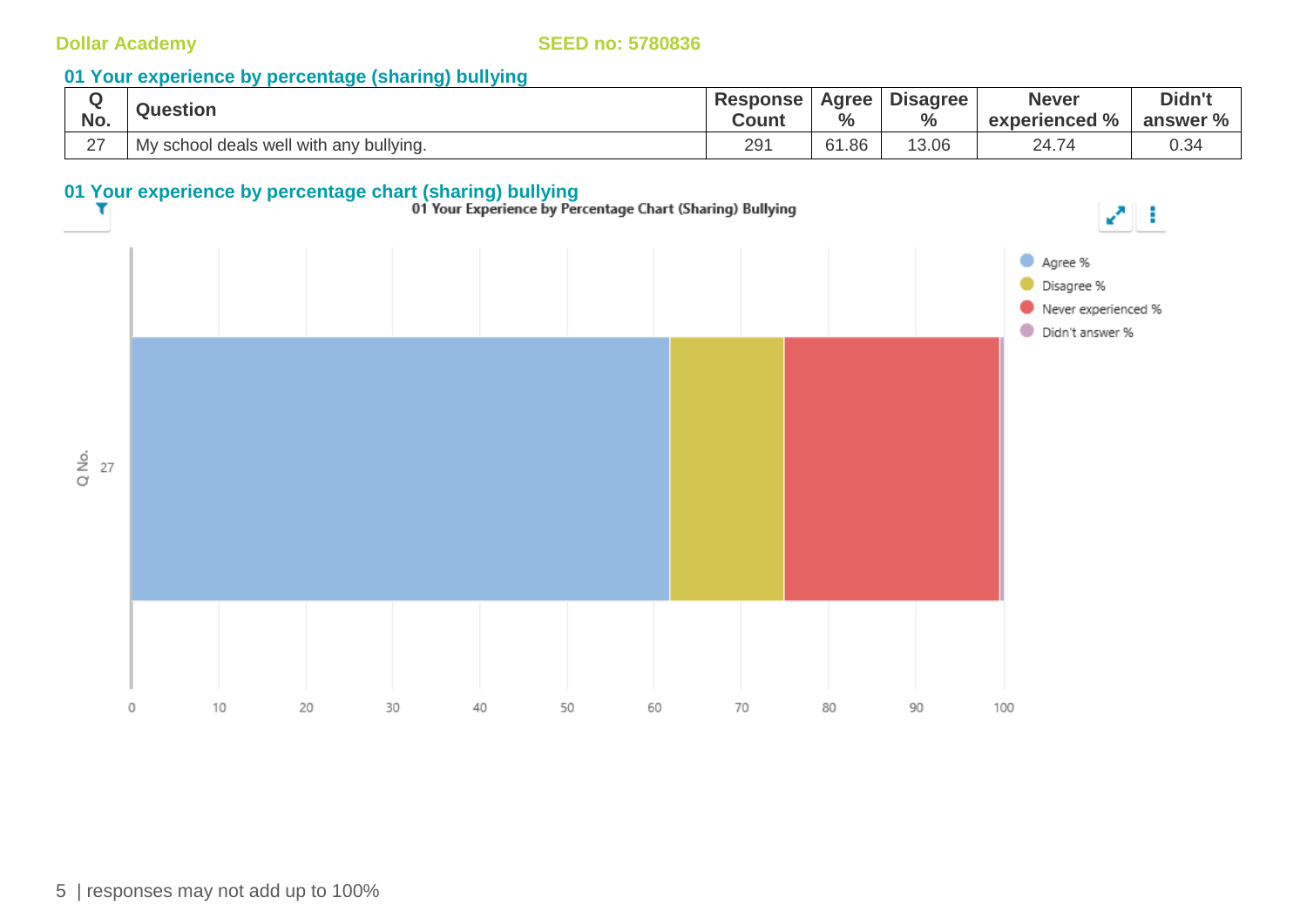### **01 Your experience by percentage (sharing) bullying**

|        | <b>Question</b>                         | <b>Response</b> | <b>Agree</b>  | <b>Disagree</b> | <b>Never</b>               | Didn't   |
|--------|-----------------------------------------|-----------------|---------------|-----------------|----------------------------|----------|
| No.    |                                         | Count           | $\frac{6}{6}$ | $\frac{0}{0}$   | experienced %              | answer % |
| $\sim$ | My school deals well with any bullying. | 291             | 61.86         | 13.06           | $\Omega$ $\Delta$ $\Delta$ | 0.34     |

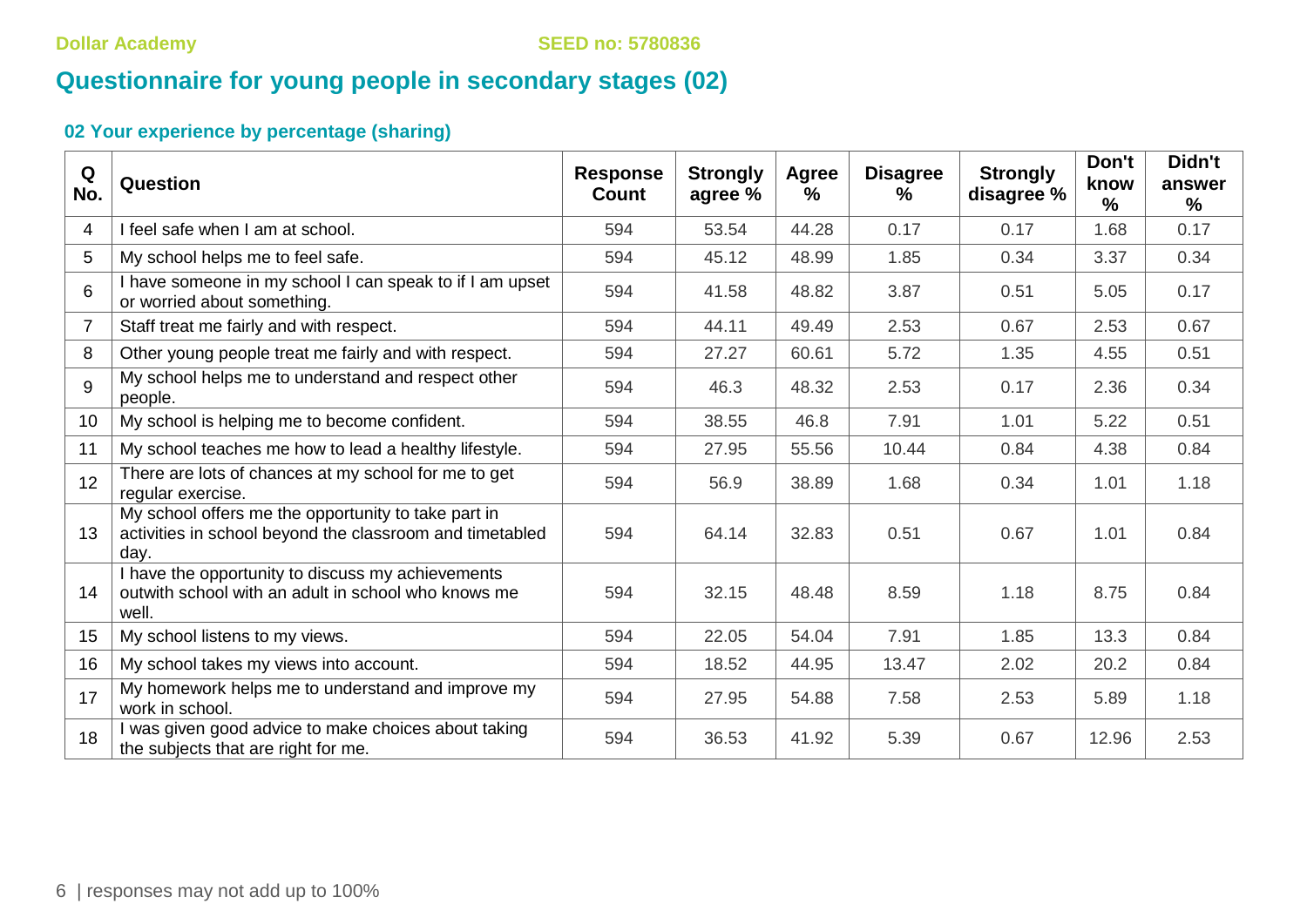# **Questionnaire for young people in secondary stages (02)**

| Q<br>No.        | Question                                                                                                                | <b>Response</b><br>Count | <b>Strongly</b><br>agree % | <b>Agree</b><br>$\%$ | <b>Disagree</b><br>℅ | <b>Strongly</b><br>disagree % | Don't<br>know<br>$\frac{9}{6}$ | Didn't<br>answer<br>$\frac{9}{6}$ |
|-----------------|-------------------------------------------------------------------------------------------------------------------------|--------------------------|----------------------------|----------------------|----------------------|-------------------------------|--------------------------------|-----------------------------------|
| 4               | I feel safe when I am at school.                                                                                        | 594                      | 53.54                      | 44.28                | 0.17                 | 0.17                          | 1.68                           | 0.17                              |
| 5               | My school helps me to feel safe.                                                                                        | 594                      | 45.12                      | 48.99                | 1.85                 | 0.34                          | 3.37                           | 0.34                              |
| $6\phantom{1}6$ | I have someone in my school I can speak to if I am upset<br>or worried about something.                                 | 594                      | 41.58                      | 48.82                | 3.87                 | 0.51                          | 5.05                           | 0.17                              |
| $\overline{7}$  | Staff treat me fairly and with respect.                                                                                 | 594                      | 44.11                      | 49.49                | 2.53                 | 0.67                          | 2.53                           | 0.67                              |
| 8               | Other young people treat me fairly and with respect.                                                                    | 594                      | 27.27                      | 60.61                | 5.72                 | 1.35                          | 4.55                           | 0.51                              |
| 9               | My school helps me to understand and respect other<br>people.                                                           | 594                      | 46.3                       | 48.32                | 2.53                 | 0.17                          | 2.36                           | 0.34                              |
| 10 <sup>°</sup> | My school is helping me to become confident.                                                                            | 594                      | 38.55                      | 46.8                 | 7.91                 | 1.01                          | 5.22                           | 0.51                              |
| 11              | My school teaches me how to lead a healthy lifestyle.                                                                   | 594                      | 27.95                      | 55.56                | 10.44                | 0.84                          | 4.38                           | 0.84                              |
| 12              | There are lots of chances at my school for me to get<br>regular exercise.                                               | 594                      | 56.9                       | 38.89                | 1.68                 | 0.34                          | 1.01                           | 1.18                              |
| 13              | My school offers me the opportunity to take part in<br>activities in school beyond the classroom and timetabled<br>day. | 594                      | 64.14                      | 32.83                | 0.51                 | 0.67                          | 1.01                           | 0.84                              |
| 14              | I have the opportunity to discuss my achievements<br>outwith school with an adult in school who knows me<br>well.       | 594                      | 32.15                      | 48.48                | 8.59                 | 1.18                          | 8.75                           | 0.84                              |
| 15              | My school listens to my views.                                                                                          | 594                      | 22.05                      | 54.04                | 7.91                 | 1.85                          | 13.3                           | 0.84                              |
| 16              | My school takes my views into account.                                                                                  | 594                      | 18.52                      | 44.95                | 13.47                | 2.02                          | 20.2                           | 0.84                              |
| 17              | My homework helps me to understand and improve my<br>work in school.                                                    | 594                      | 27.95                      | 54.88                | 7.58                 | 2.53                          | 5.89                           | 1.18                              |
| 18              | I was given good advice to make choices about taking<br>the subjects that are right for me.                             | 594                      | 36.53                      | 41.92                | 5.39                 | 0.67                          | 12.96                          | 2.53                              |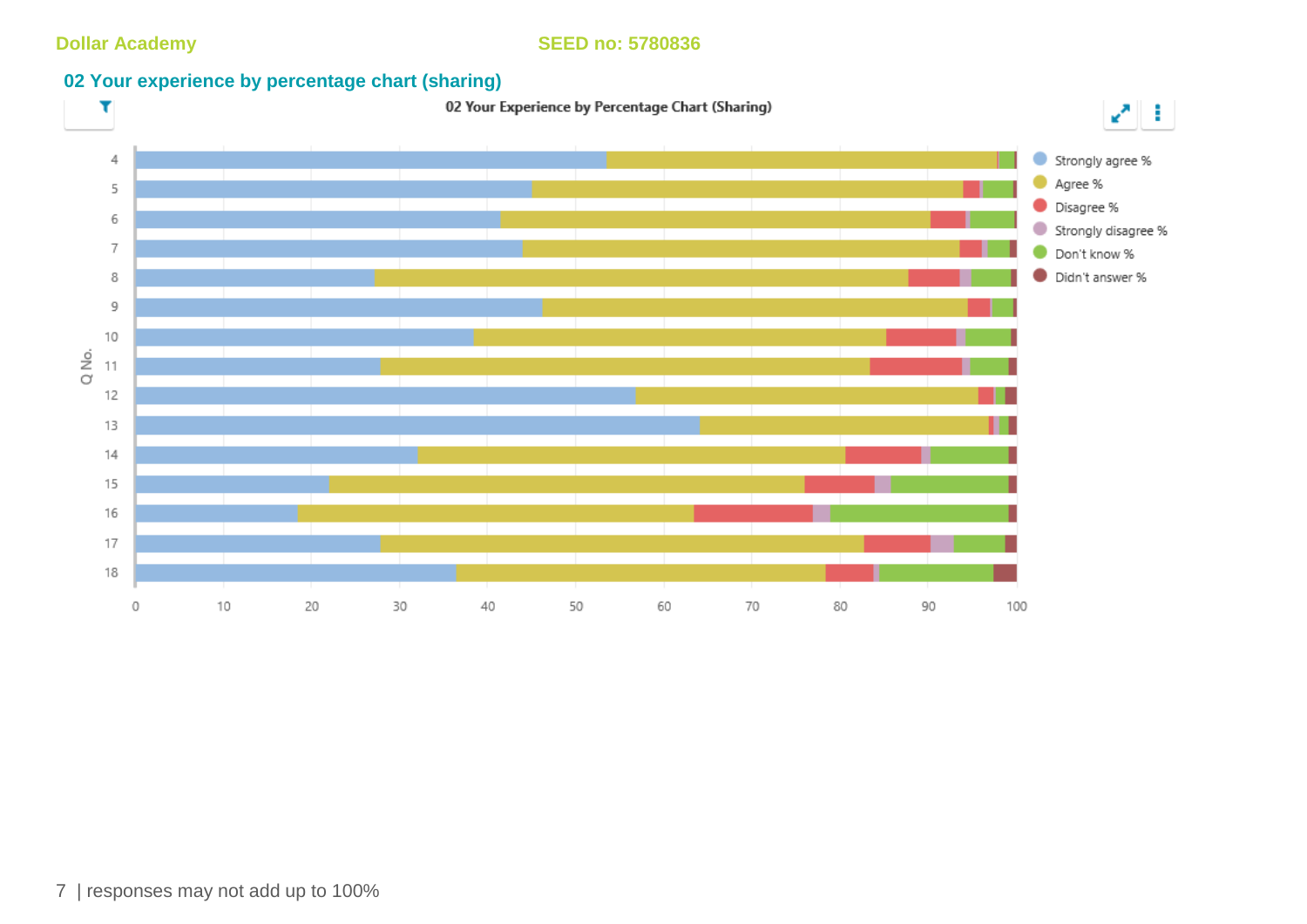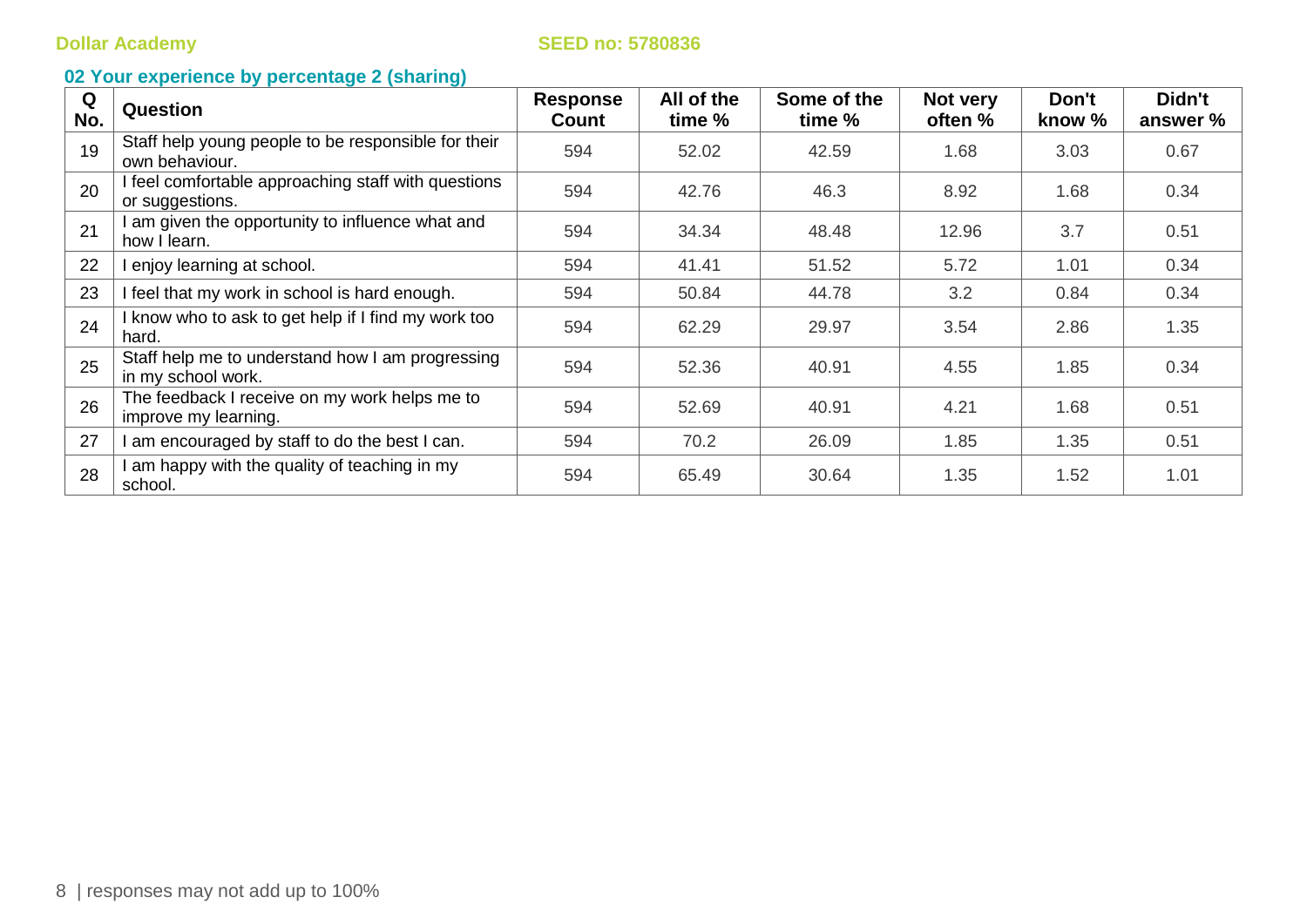| Q<br>No. | <b>Question</b>                                                        | <b>Response</b><br>Count | All of the<br>time % | Some of the<br>time % | Not very<br>often % | Don't<br>know % | Didn't<br>answer % |
|----------|------------------------------------------------------------------------|--------------------------|----------------------|-----------------------|---------------------|-----------------|--------------------|
| 19       | Staff help young people to be responsible for their<br>own behaviour.  | 594                      | 52.02                | 42.59                 | 1.68                | 3.03            | 0.67               |
| 20       | I feel comfortable approaching staff with questions<br>or suggestions. | 594                      | 42.76                | 46.3                  | 8.92                | 1.68            | 0.34               |
| 21       | I am given the opportunity to influence what and<br>how I learn.       | 594                      | 34.34                | 48.48                 | 12.96               | 3.7             | 0.51               |
| 22       | I enjoy learning at school.                                            | 594                      | 41.41                | 51.52                 | 5.72                | 1.01            | 0.34               |
| 23       | I feel that my work in school is hard enough.                          | 594                      | 50.84                | 44.78                 | 3.2                 | 0.84            | 0.34               |
| 24       | I know who to ask to get help if I find my work too<br>hard.           | 594                      | 62.29                | 29.97                 | 3.54                | 2.86            | 1.35               |
| 25       | Staff help me to understand how I am progressing<br>in my school work. | 594                      | 52.36                | 40.91                 | 4.55                | 1.85            | 0.34               |
| 26       | The feedback I receive on my work helps me to<br>improve my learning.  | 594                      | 52.69                | 40.91                 | 4.21                | 1.68            | 0.51               |
| 27       | I am encouraged by staff to do the best I can.                         | 594                      | 70.2                 | 26.09                 | 1.85                | 1.35            | 0.51               |
| 28       | I am happy with the quality of teaching in my<br>school.               | 594                      | 65.49                | 30.64                 | 1.35                | 1.52            | 1.01               |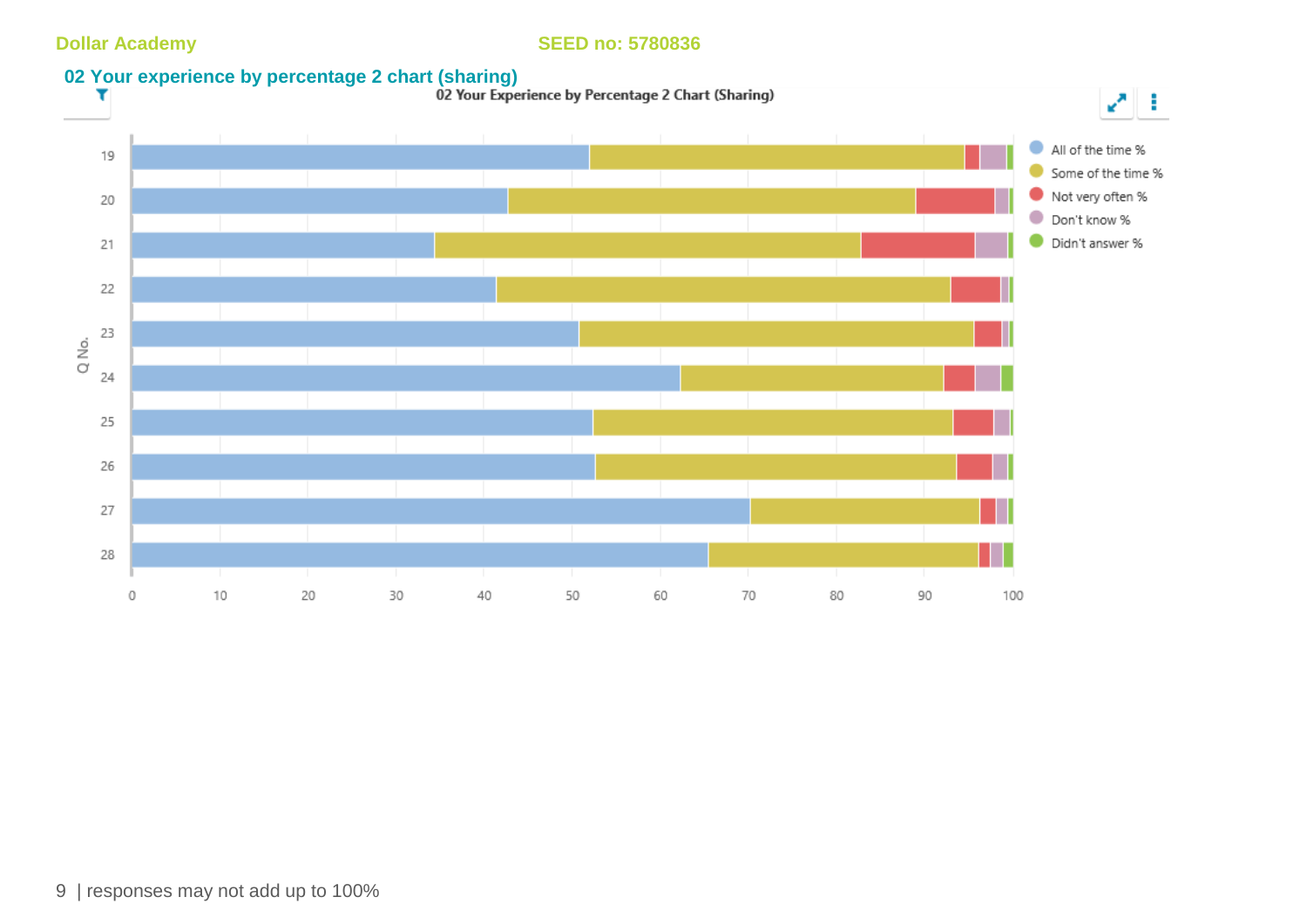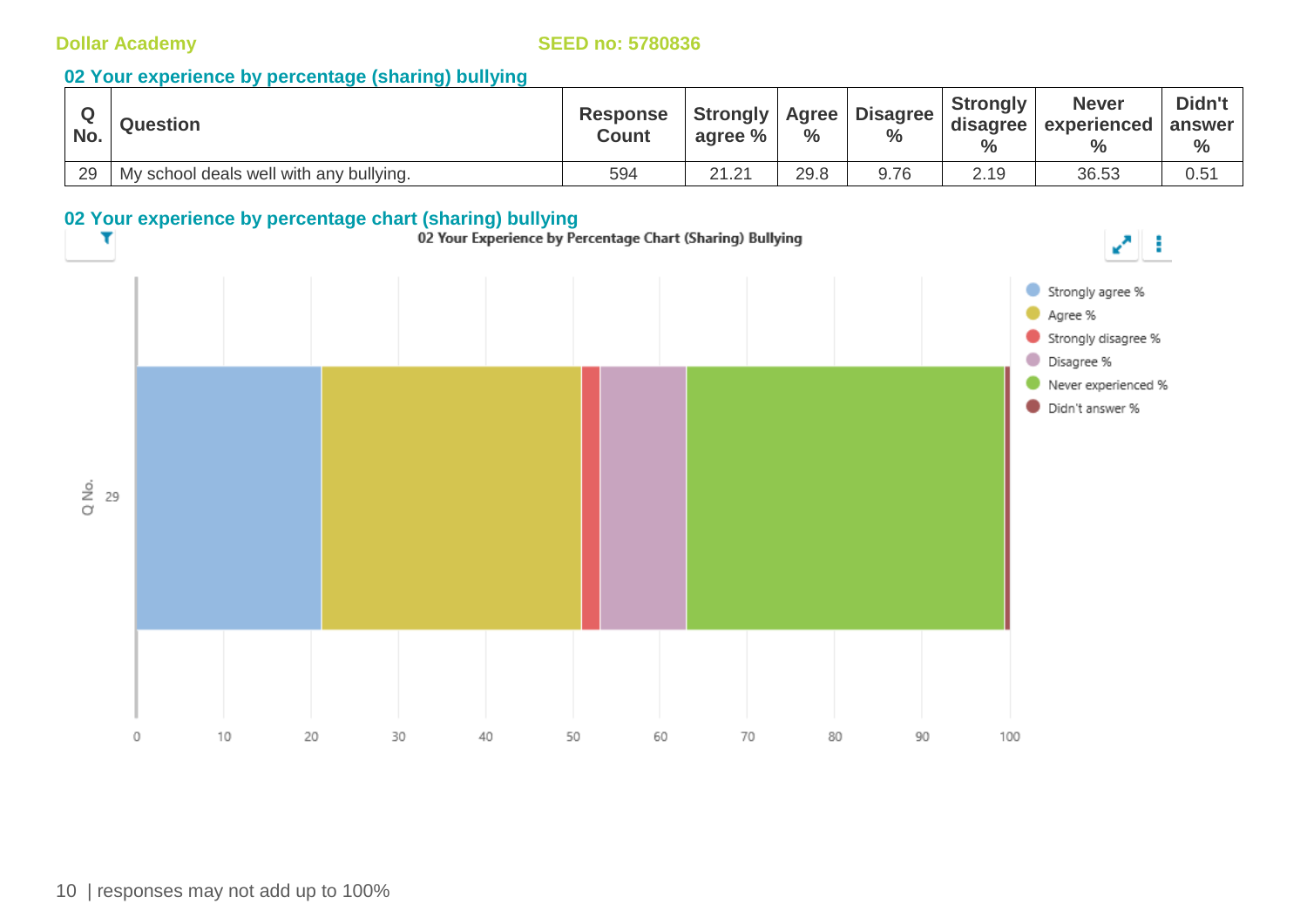### **02 Your experience by percentage (sharing) bullying**

| No. | <b>Question</b>                         | <b>Response</b><br><b>Count</b> | <b>Strongly   Agree  </b><br>agree % | $\frac{0}{0}$ | <b>Disagree</b><br>$\%$ | <b>Strongly</b><br>$\%$ | <b>Never</b><br>disagree   experienced   answer  <br>$\frac{0}{0}$ | Didn't<br>$\%$ |
|-----|-----------------------------------------|---------------------------------|--------------------------------------|---------------|-------------------------|-------------------------|--------------------------------------------------------------------|----------------|
| 29  | My school deals well with any bullying. | 594                             | 21.21                                | 29.8          | 9.76                    | 2.19                    | 36.53                                                              | 0.51           |

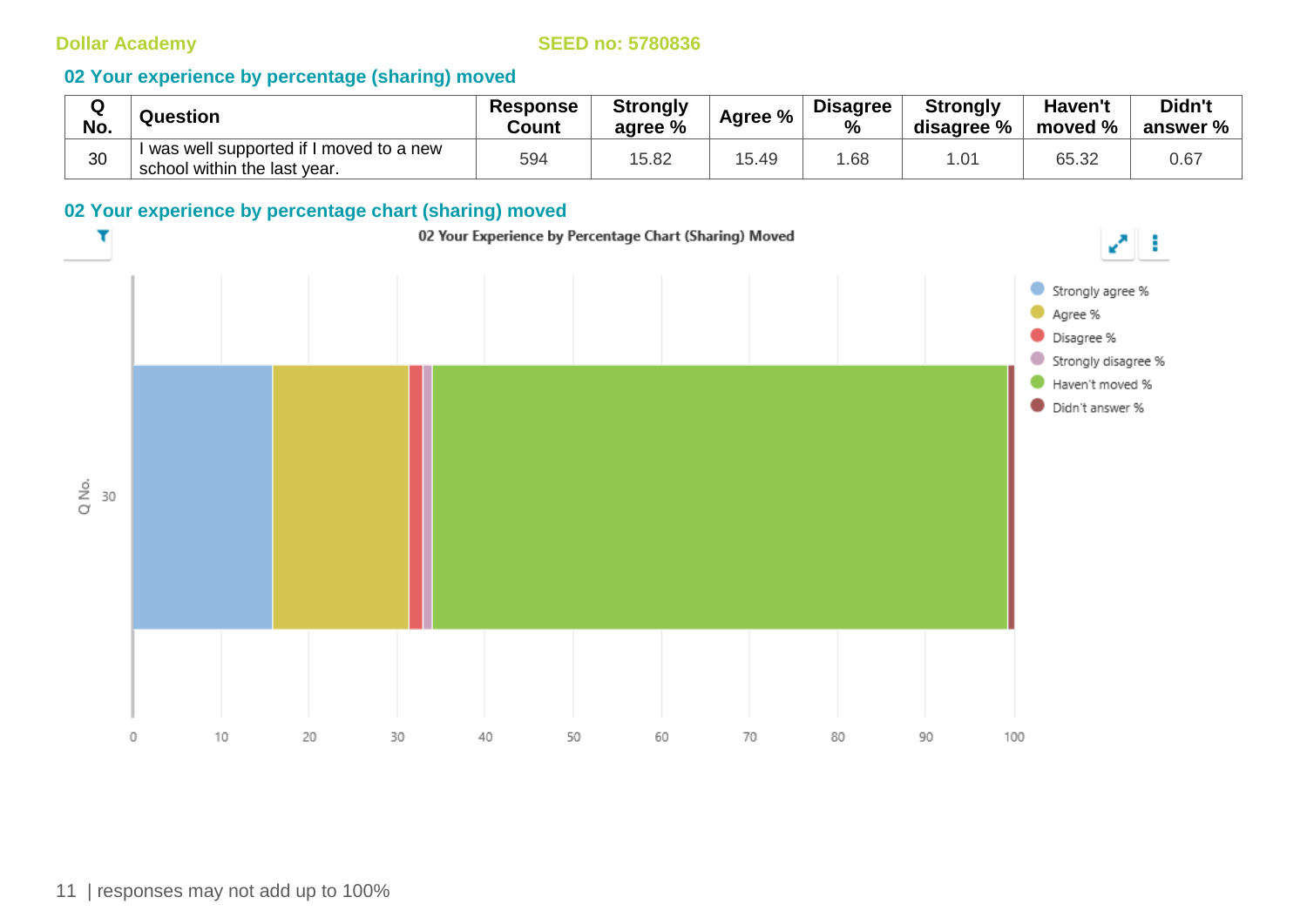### **02 Your experience by percentage (sharing) moved**

| $\sim$<br>w<br>No. | Question                                                                 | <b>Response</b><br>Count | <b>Strongly</b><br>agree % | Agree % | <b>Disagree</b><br>$\frac{0}{0}$ | <b>Strongly</b><br>disagree % | Haven't<br>moved % | Didn't<br>answer % |
|--------------------|--------------------------------------------------------------------------|--------------------------|----------------------------|---------|----------------------------------|-------------------------------|--------------------|--------------------|
| 30                 | I was well supported if I moved to a new<br>school within the last year. | 594                      | 15.82                      | 15.49   | .68                              |                               | 65.32              | 0.67               |

### **02 Your experience by percentage chart (sharing) moved**

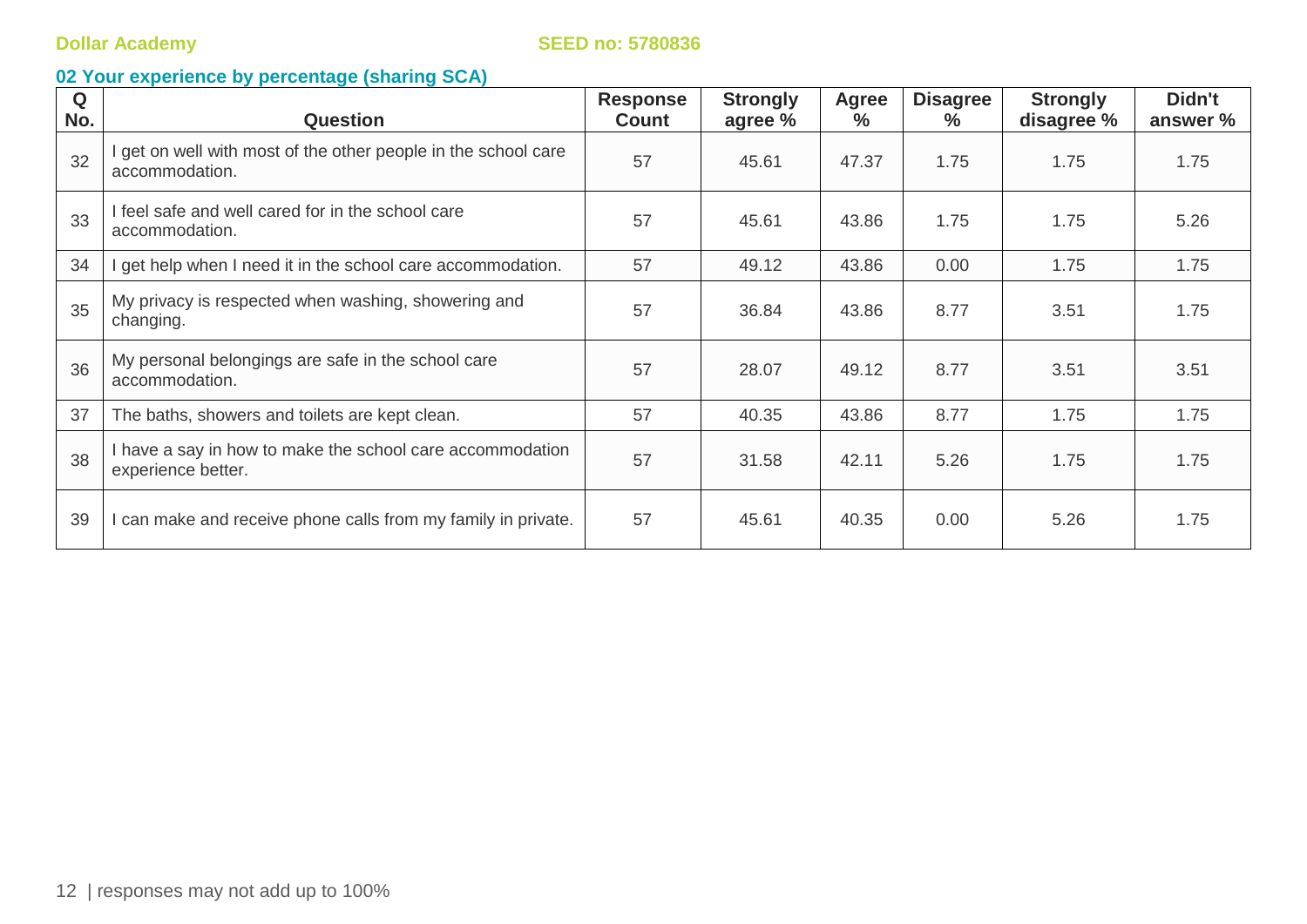| Q<br>No. | <b>Question</b>                                                                 | <b>Response</b><br><b>Count</b> | <b>Strongly</b><br>agree % | <b>Agree</b><br>$\%$ | <b>Disagree</b><br>℅ | <b>Strongly</b><br>disagree % | Didn't<br>answer % |
|----------|---------------------------------------------------------------------------------|---------------------------------|----------------------------|----------------------|----------------------|-------------------------------|--------------------|
| 32       | get on well with most of the other people in the school care<br>accommodation.  | 57                              | 45.61                      | 47.37                | 1.75                 | 1.75                          | 1.75               |
| 33       | I feel safe and well cared for in the school care<br>accommodation.             | 57                              | 45.61                      | 43.86                | 1.75                 | 1.75                          | 5.26               |
| 34       | get help when I need it in the school care accommodation.                       | 57                              | 49.12                      | 43.86                | 0.00                 | 1.75                          | 1.75               |
| 35       | My privacy is respected when washing, showering and<br>changing.                | 57                              | 36.84                      | 43.86                | 8.77                 | 3.51                          | 1.75               |
| 36       | My personal belongings are safe in the school care<br>accommodation.            | 57                              | 28.07                      | 49.12                | 8.77                 | 3.51                          | 3.51               |
| 37       | The baths, showers and toilets are kept clean.                                  | 57                              | 40.35                      | 43.86                | 8.77                 | 1.75                          | 1.75               |
| 38       | I have a say in how to make the school care accommodation<br>experience better. | 57                              | 31.58                      | 42.11                | 5.26                 | 1.75                          | 1.75               |
| 39       | can make and receive phone calls from my family in private.                     | 57                              | 45.61                      | 40.35                | 0.00                 | 5.26                          | 1.75               |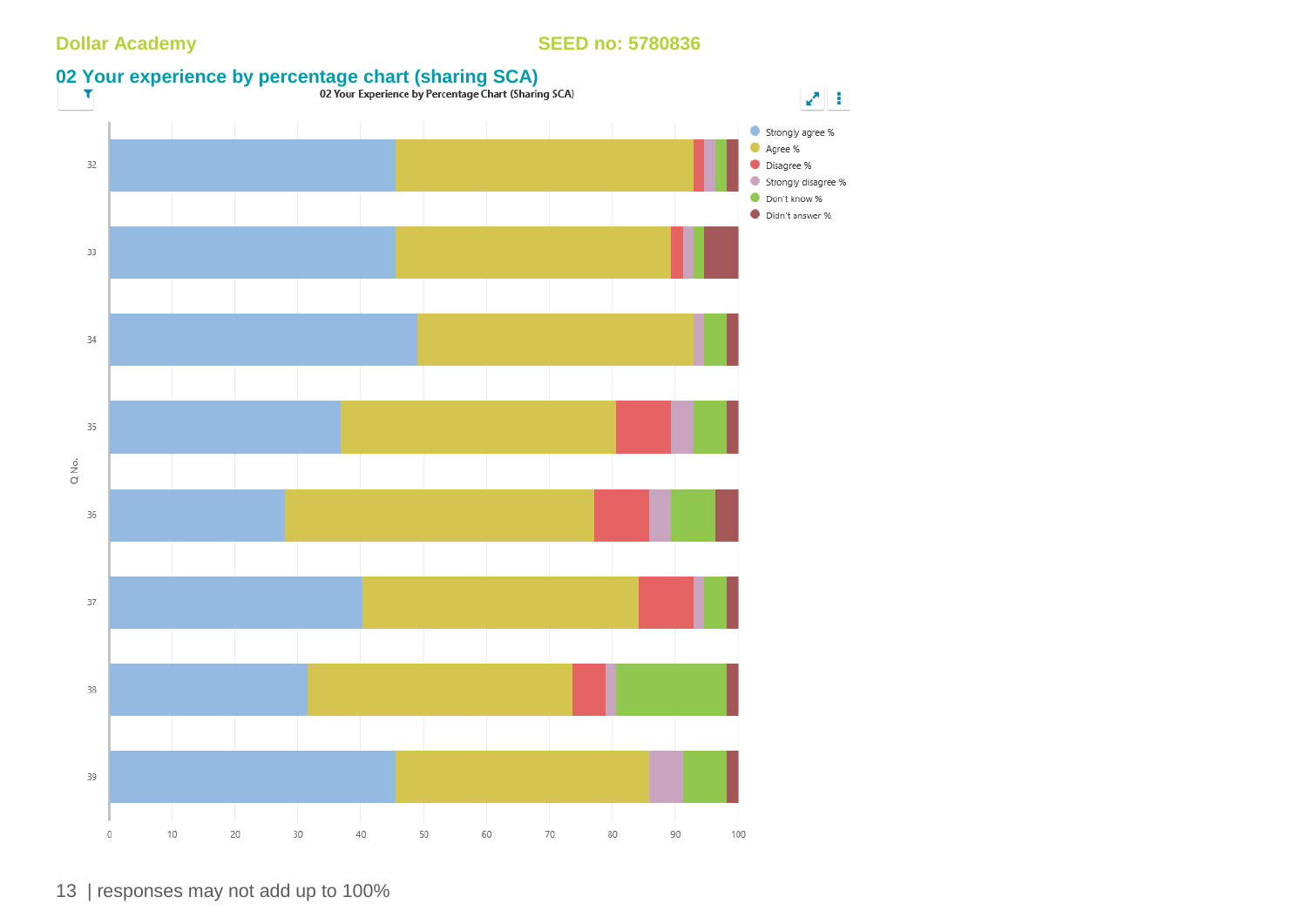

13 | responses may not add up to 100%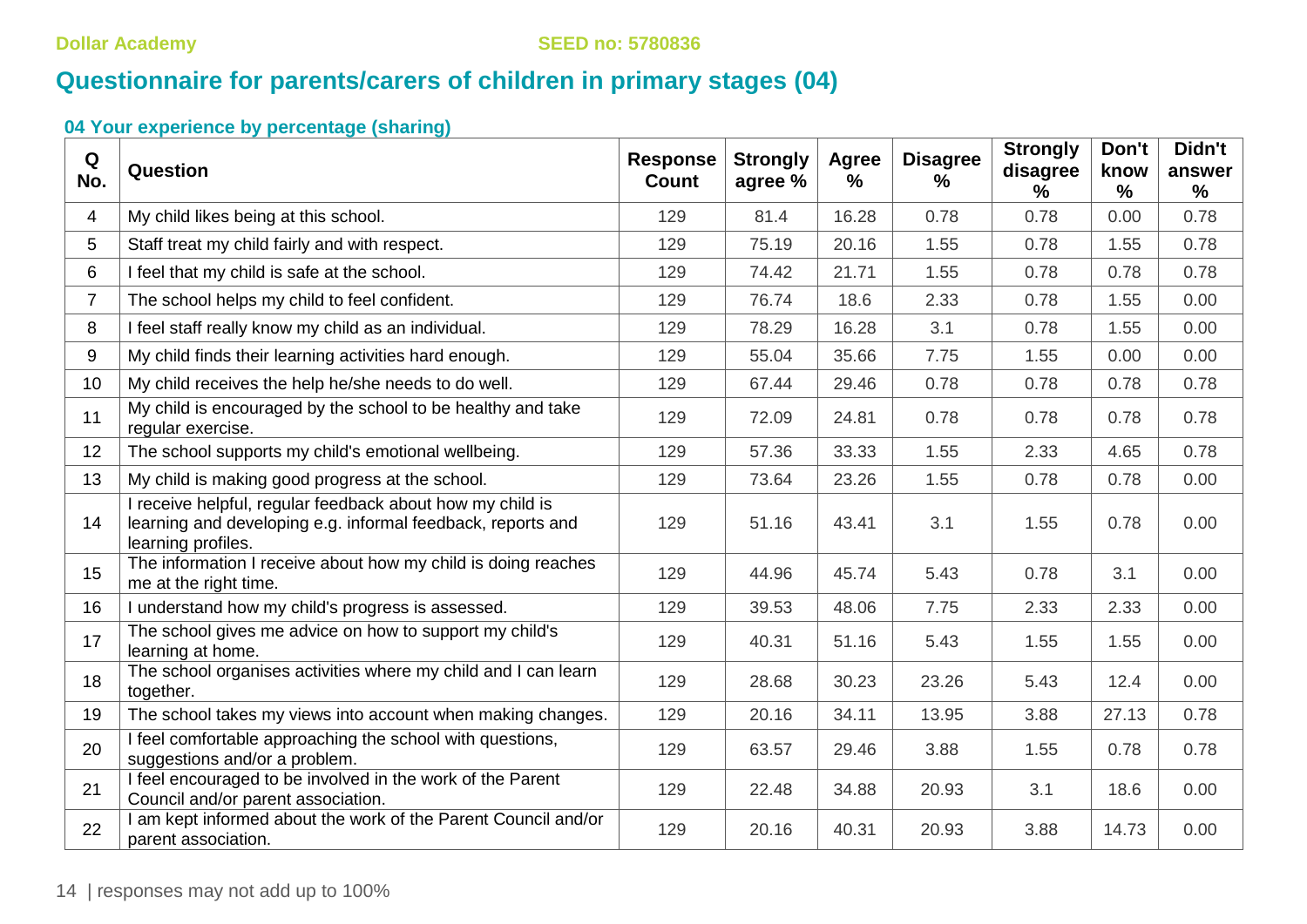# **Questionnaire for parents/carers of children in primary stages (04)**

| Q<br>No.       | Question                                                                                                                                       | <b>Response</b><br><b>Count</b> | <b>Strongly</b><br>agree % | <b>Agree</b><br>$\%$ | <b>Disagree</b><br>$\%$ | <b>Strongly</b><br>disagree<br>$\%$ | Don't<br>know<br>$\frac{9}{6}$ | Didn't<br>answer<br>$\%$ |
|----------------|------------------------------------------------------------------------------------------------------------------------------------------------|---------------------------------|----------------------------|----------------------|-------------------------|-------------------------------------|--------------------------------|--------------------------|
| 4              | My child likes being at this school.                                                                                                           | 129                             | 81.4                       | 16.28                | 0.78                    | 0.78                                | 0.00                           | 0.78                     |
| 5              | Staff treat my child fairly and with respect.                                                                                                  | 129                             | 75.19                      | 20.16                | 1.55                    | 0.78                                | 1.55                           | 0.78                     |
| 6              | I feel that my child is safe at the school.                                                                                                    | 129                             | 74.42                      | 21.71                | 1.55                    | 0.78                                | 0.78                           | 0.78                     |
| $\overline{7}$ | The school helps my child to feel confident.                                                                                                   | 129                             | 76.74                      | 18.6                 | 2.33                    | 0.78                                | 1.55                           | 0.00                     |
| 8              | I feel staff really know my child as an individual.                                                                                            | 129                             | 78.29                      | 16.28                | 3.1                     | 0.78                                | 1.55                           | 0.00                     |
| 9              | My child finds their learning activities hard enough.                                                                                          | 129                             | 55.04                      | 35.66                | 7.75                    | 1.55                                | 0.00                           | 0.00                     |
| 10             | My child receives the help he/she needs to do well.                                                                                            | 129                             | 67.44                      | 29.46                | 0.78                    | 0.78                                | 0.78                           | 0.78                     |
| 11             | My child is encouraged by the school to be healthy and take<br>regular exercise.                                                               | 129                             | 72.09                      | 24.81                | 0.78                    | 0.78                                | 0.78                           | 0.78                     |
| 12             | The school supports my child's emotional wellbeing.                                                                                            | 129                             | 57.36                      | 33.33                | 1.55                    | 2.33                                | 4.65                           | 0.78                     |
| 13             | My child is making good progress at the school.                                                                                                | 129                             | 73.64                      | 23.26                | 1.55                    | 0.78                                | 0.78                           | 0.00                     |
| 14             | I receive helpful, regular feedback about how my child is<br>learning and developing e.g. informal feedback, reports and<br>learning profiles. | 129                             | 51.16                      | 43.41                | 3.1                     | 1.55                                | 0.78                           | 0.00                     |
| 15             | The information I receive about how my child is doing reaches<br>me at the right time.                                                         | 129                             | 44.96                      | 45.74                | 5.43                    | 0.78                                | 3.1                            | 0.00                     |
| 16             | I understand how my child's progress is assessed.                                                                                              | 129                             | 39.53                      | 48.06                | 7.75                    | 2.33                                | 2.33                           | 0.00                     |
| 17             | The school gives me advice on how to support my child's<br>learning at home.                                                                   | 129                             | 40.31                      | 51.16                | 5.43                    | 1.55                                | 1.55                           | 0.00                     |
| 18             | The school organises activities where my child and I can learn<br>together.                                                                    | 129                             | 28.68                      | 30.23                | 23.26                   | 5.43                                | 12.4                           | 0.00                     |
| 19             | The school takes my views into account when making changes.                                                                                    | 129                             | 20.16                      | 34.11                | 13.95                   | 3.88                                | 27.13                          | 0.78                     |
| 20             | I feel comfortable approaching the school with questions,<br>suggestions and/or a problem.                                                     | 129                             | 63.57                      | 29.46                | 3.88                    | 1.55                                | 0.78                           | 0.78                     |
| 21             | I feel encouraged to be involved in the work of the Parent<br>Council and/or parent association.                                               | 129                             | 22.48                      | 34.88                | 20.93                   | 3.1                                 | 18.6                           | 0.00                     |
| 22             | I am kept informed about the work of the Parent Council and/or<br>parent association.                                                          | 129                             | 20.16                      | 40.31                | 20.93                   | 3.88                                | 14.73                          | 0.00                     |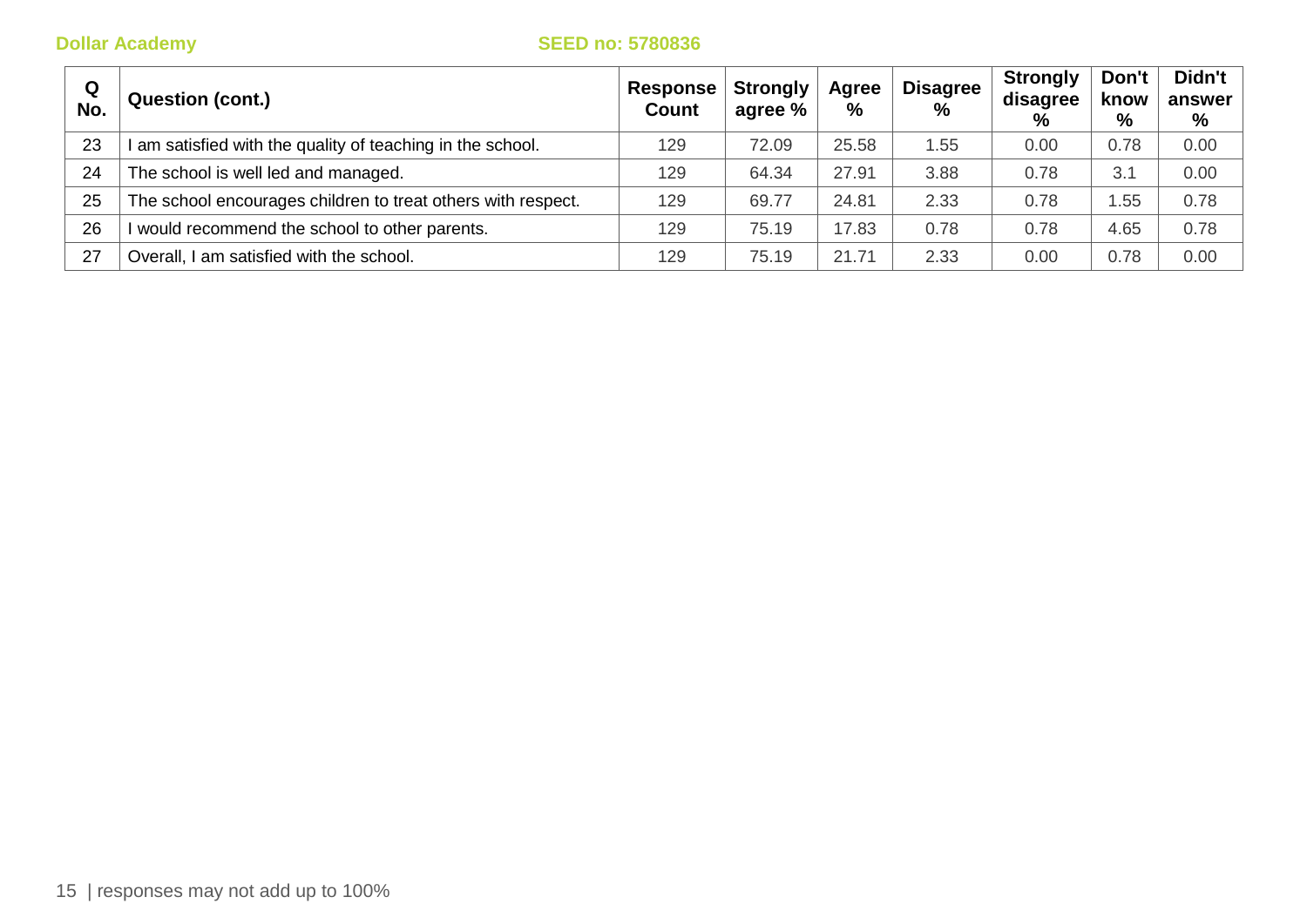| Q<br>No. | <b>Question (cont.)</b>                                      | Response  <br><b>Count</b> | <b>Strongly</b><br>agree % | Agree<br>% | <b>Disagree</b><br>$\%$ | <b>Strongly</b><br>disagree<br>$\%$ | Don't<br>know<br>% | Didn't<br>answer<br>% |
|----------|--------------------------------------------------------------|----------------------------|----------------------------|------------|-------------------------|-------------------------------------|--------------------|-----------------------|
| 23       | am satisfied with the quality of teaching in the school.     | 129                        | 72.09                      | 25.58      | 1.55                    | 0.00                                | 0.78               | 0.00                  |
| 24       | The school is well led and managed.                          | 129                        | 64.34                      | 27.91      | 3.88                    | 0.78                                | 3.1                | 0.00                  |
| 25       | The school encourages children to treat others with respect. | 129                        | 69.77                      | 24.81      | 2.33                    | 0.78                                | .55                | 0.78                  |
| 26       | would recommend the school to other parents.                 | 129                        | 75.19                      | 17.83      | 0.78                    | 0.78                                | 4.65               | 0.78                  |
| -27      | Overall, I am satisfied with the school.                     | 129                        | 75.19                      | 21.71      | 2.33                    | 0.00                                | 0.78               | 0.00                  |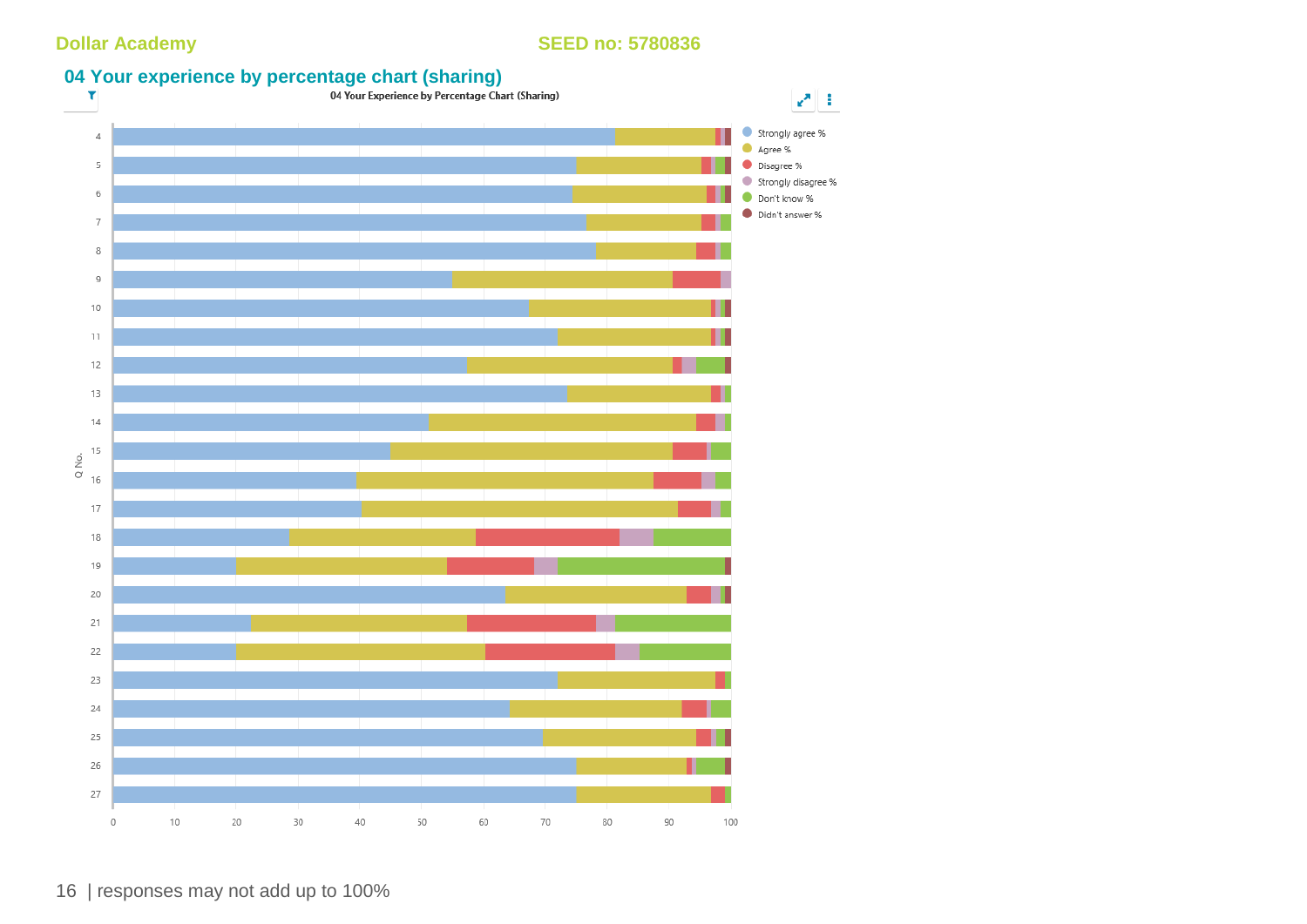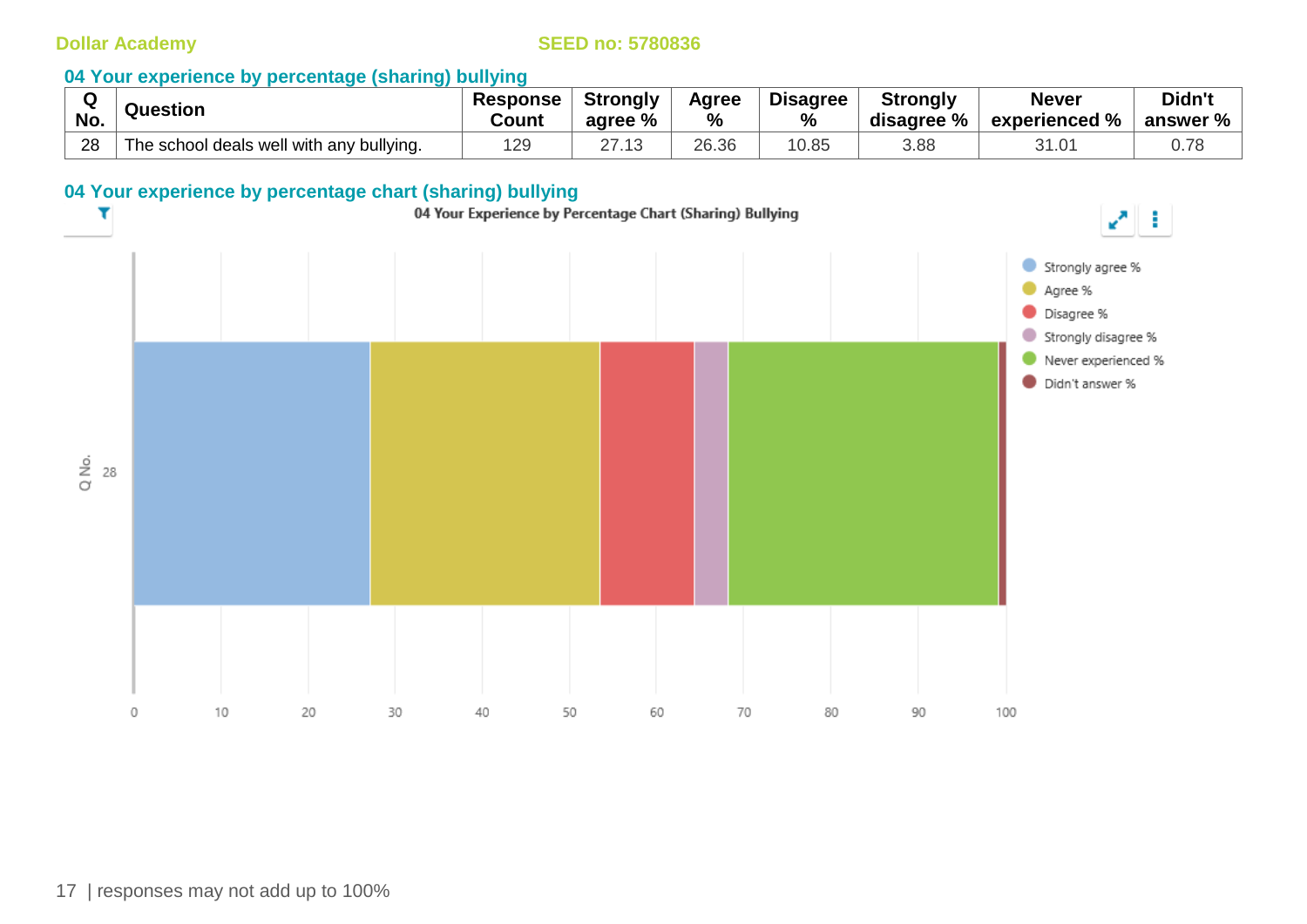### **04 Your experience by percentage (sharing) bullying**

|     | Question                                 | Response | <b>Strongly</b> | Agree | <b>Disagree</b> | <b>Strongly</b> | <b>Never</b>                | Didn't   |
|-----|------------------------------------------|----------|-----------------|-------|-----------------|-----------------|-----------------------------|----------|
| No. |                                          | Count    | agree %         | $\%$  | %               | disagree %      | $^{\circ}$ experienced $\%$ | answer % |
| 28  | The school deals well with any bullying. | 129      | 27<br>21.IJ     | 26.36 | 10.85           | 3.88            | 31.01                       |          |

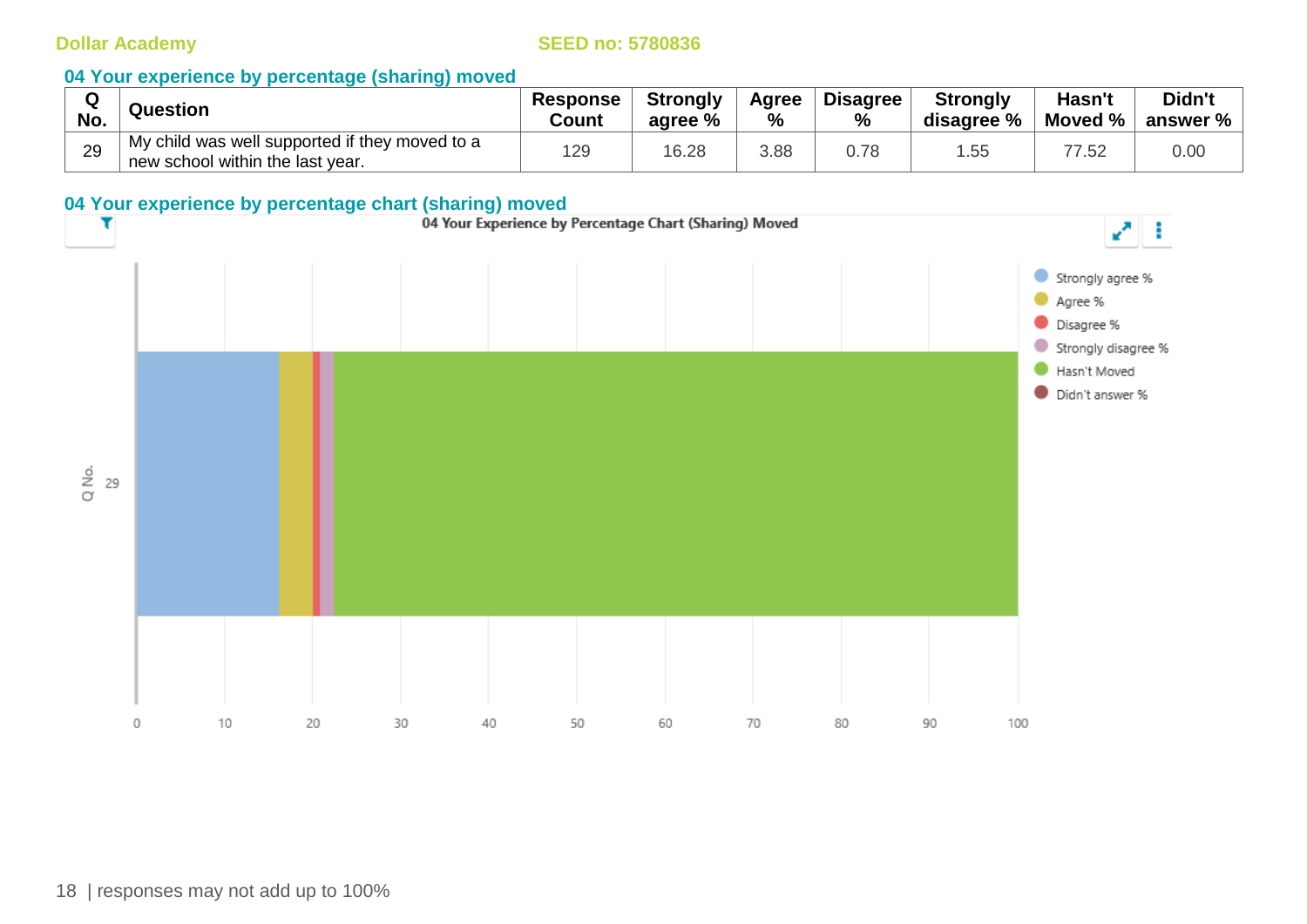| No. | Question                                                                           | <b>Response</b><br>Count | <b>Strongly</b><br>agree % | Agree<br>% | <b>Disagree</b><br>% | <b>Strongly</b><br>disagree % | Hasn't<br>Moved % | Didn't<br>answer % |
|-----|------------------------------------------------------------------------------------|--------------------------|----------------------------|------------|----------------------|-------------------------------|-------------------|--------------------|
| 29  | My child was well supported if they moved to a<br>new school within the last year. | 129                      | 16.28                      | 3.88       | 0.78                 | .55                           | '.52              | 0.00               |

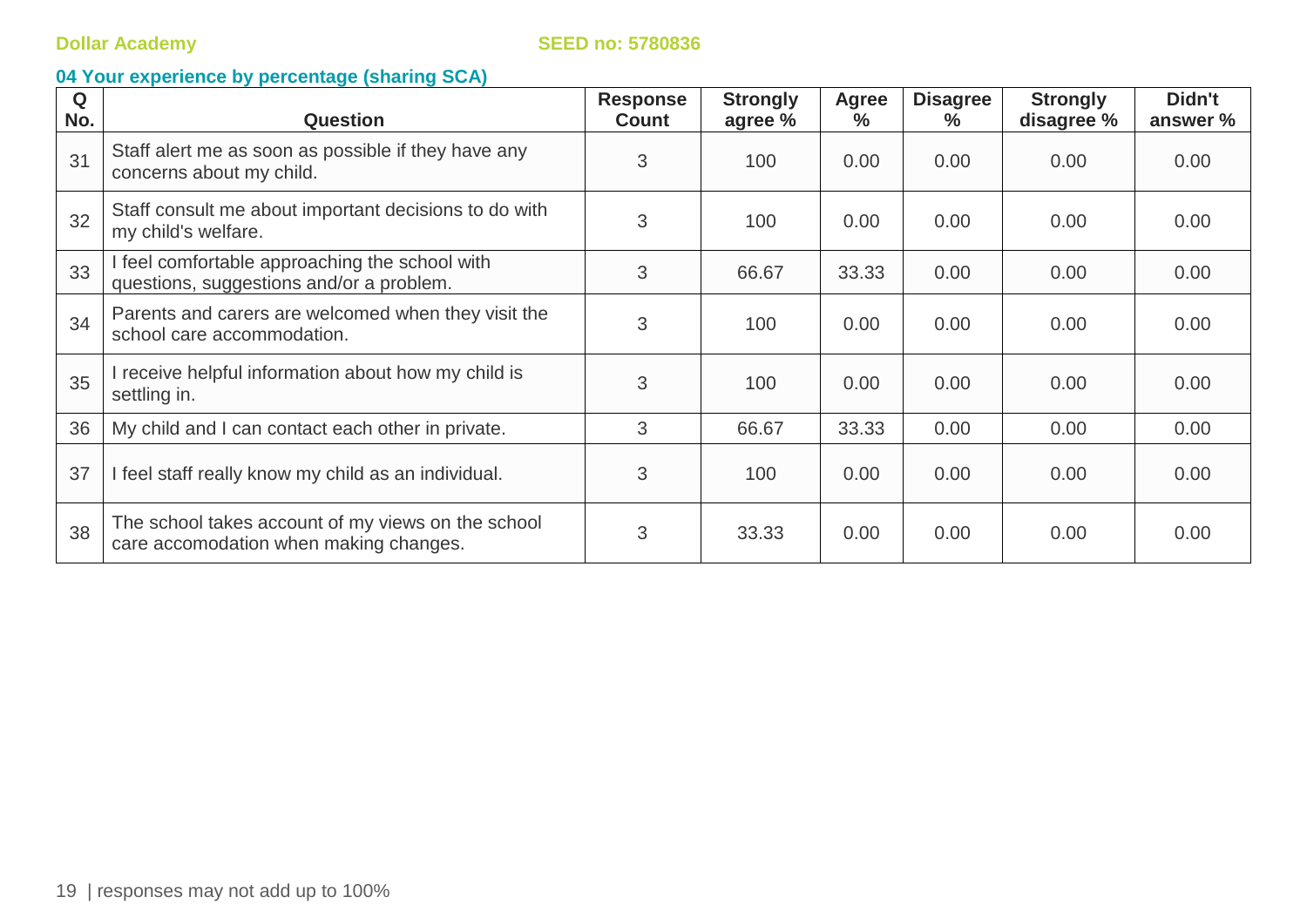| Q<br>No. | <b>Question</b>                                                                              | <b>Response</b><br><b>Count</b> | <b>Strongly</b><br>agree % | <b>Agree</b><br>$\%$ | <b>Disagree</b><br>℅ | <b>Strongly</b><br>disagree % | Didn't<br>answer % |
|----------|----------------------------------------------------------------------------------------------|---------------------------------|----------------------------|----------------------|----------------------|-------------------------------|--------------------|
| 31       | Staff alert me as soon as possible if they have any<br>concerns about my child.              | 3                               | 100                        | 0.00                 | 0.00                 | 0.00                          | 0.00               |
| 32       | Staff consult me about important decisions to do with<br>my child's welfare.                 | 3                               | 100                        | 0.00                 | 0.00                 | 0.00                          | 0.00               |
| 33       | I feel comfortable approaching the school with<br>questions, suggestions and/or a problem.   | 3                               | 66.67                      | 33.33                | 0.00                 | 0.00                          | 0.00               |
| 34       | Parents and carers are welcomed when they visit the<br>school care accommodation.            | 3                               | 100                        | 0.00                 | 0.00                 | 0.00                          | 0.00               |
| 35       | I receive helpful information about how my child is<br>settling in.                          | 3                               | 100                        | 0.00                 | 0.00                 | 0.00                          | 0.00               |
| 36       | My child and I can contact each other in private.                                            | 3                               | 66.67                      | 33.33                | 0.00                 | 0.00                          | 0.00               |
| 37       | I feel staff really know my child as an individual.                                          | 3                               | 100                        | 0.00                 | 0.00                 | 0.00                          | 0.00               |
| 38       | The school takes account of my views on the school<br>care accomodation when making changes. | 3                               | 33.33                      | 0.00                 | 0.00                 | 0.00                          | 0.00               |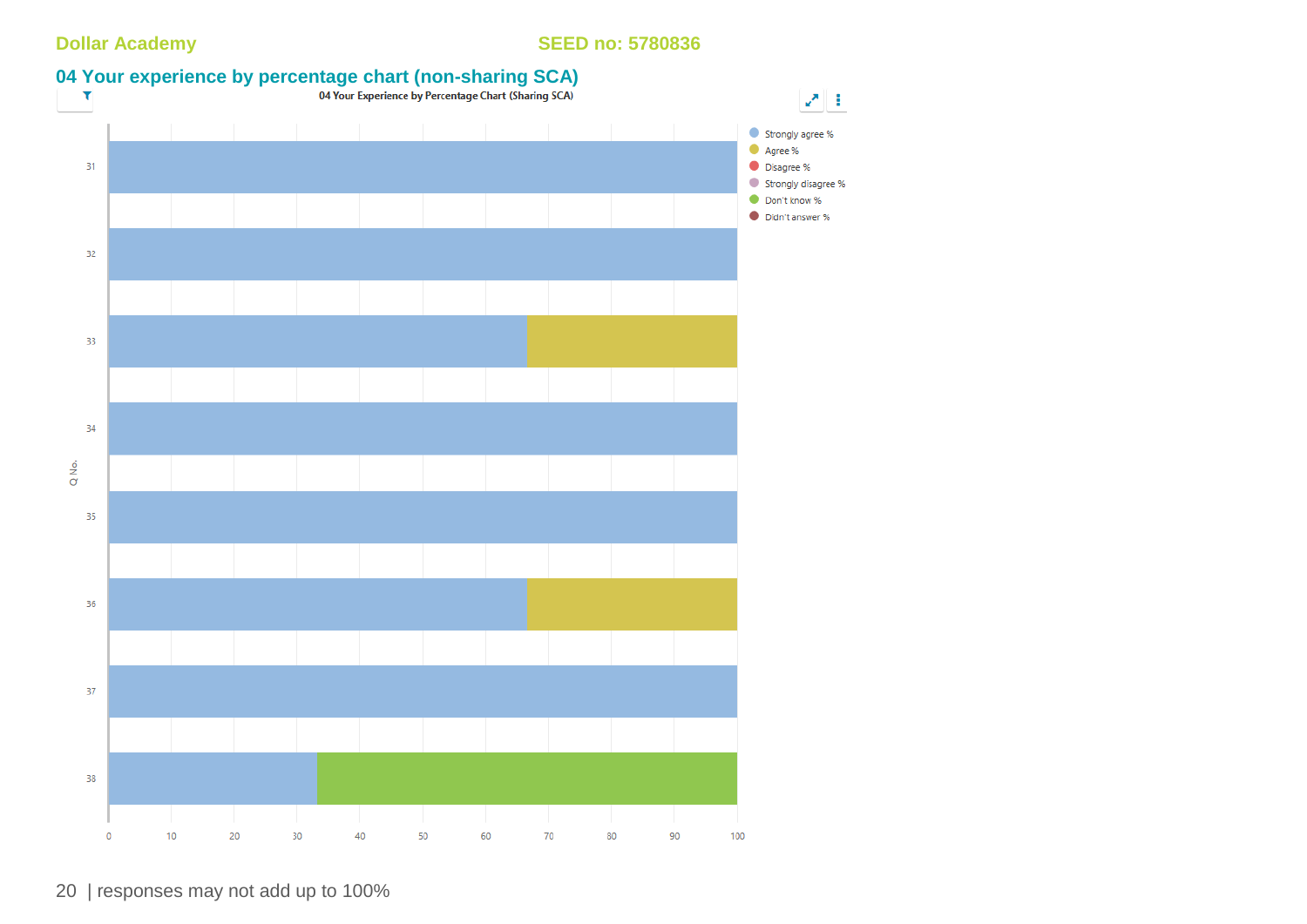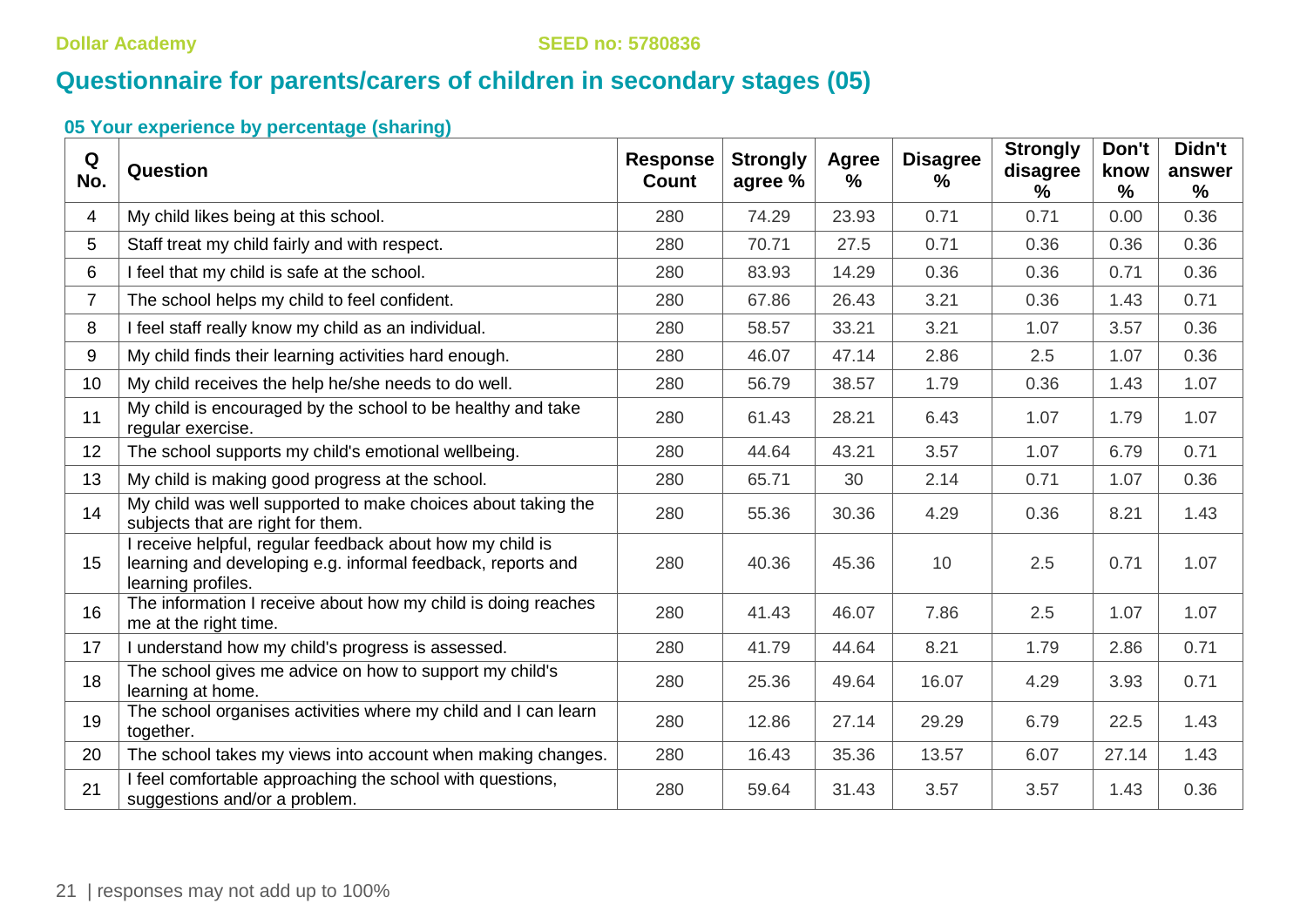# **Questionnaire for parents/carers of children in secondary stages (05)**

| Q<br>No.                | Question                                                                                                                                       | <b>Response</b><br><b>Count</b> | <b>Strongly</b><br>agree % | <b>Agree</b><br>$\frac{0}{0}$ | <b>Disagree</b><br>$\%$ | <b>Strongly</b><br>disagree<br>℅ | Don't<br>know<br>$\frac{9}{6}$ | Didn't<br>answer<br>% |
|-------------------------|------------------------------------------------------------------------------------------------------------------------------------------------|---------------------------------|----------------------------|-------------------------------|-------------------------|----------------------------------|--------------------------------|-----------------------|
| $\overline{\mathbf{4}}$ | My child likes being at this school.                                                                                                           | 280                             | 74.29                      | 23.93                         | 0.71                    | 0.71                             | 0.00                           | 0.36                  |
| 5                       | Staff treat my child fairly and with respect.                                                                                                  | 280                             | 70.71                      | 27.5                          | 0.71                    | 0.36                             | 0.36                           | 0.36                  |
| 6                       | I feel that my child is safe at the school.                                                                                                    | 280                             | 83.93                      | 14.29                         | 0.36                    | 0.36                             | 0.71                           | 0.36                  |
| $\overline{7}$          | The school helps my child to feel confident.                                                                                                   | 280                             | 67.86                      | 26.43                         | 3.21                    | 0.36                             | 1.43                           | 0.71                  |
| 8                       | I feel staff really know my child as an individual.                                                                                            | 280                             | 58.57                      | 33.21                         | 3.21                    | 1.07                             | 3.57                           | 0.36                  |
| 9                       | My child finds their learning activities hard enough.                                                                                          | 280                             | 46.07                      | 47.14                         | 2.86                    | 2.5                              | 1.07                           | 0.36                  |
| 10                      | My child receives the help he/she needs to do well.                                                                                            | 280                             | 56.79                      | 38.57                         | 1.79                    | 0.36                             | 1.43                           | 1.07                  |
| 11                      | My child is encouraged by the school to be healthy and take<br>regular exercise.                                                               | 280                             | 61.43                      | 28.21                         | 6.43                    | 1.07                             | 1.79                           | 1.07                  |
| 12                      | The school supports my child's emotional wellbeing.                                                                                            | 280                             | 44.64                      | 43.21                         | 3.57                    | 1.07                             | 6.79                           | 0.71                  |
| 13                      | My child is making good progress at the school.                                                                                                | 280                             | 65.71                      | 30                            | 2.14                    | 0.71                             | 1.07                           | 0.36                  |
| 14                      | My child was well supported to make choices about taking the<br>subjects that are right for them.                                              | 280                             | 55.36                      | 30.36                         | 4.29                    | 0.36                             | 8.21                           | 1.43                  |
| 15                      | I receive helpful, regular feedback about how my child is<br>learning and developing e.g. informal feedback, reports and<br>learning profiles. | 280                             | 40.36                      | 45.36                         | 10                      | 2.5                              | 0.71                           | 1.07                  |
| 16                      | The information I receive about how my child is doing reaches<br>me at the right time.                                                         | 280                             | 41.43                      | 46.07                         | 7.86                    | 2.5                              | 1.07                           | 1.07                  |
| 17                      | I understand how my child's progress is assessed.                                                                                              | 280                             | 41.79                      | 44.64                         | 8.21                    | 1.79                             | 2.86                           | 0.71                  |
| 18                      | The school gives me advice on how to support my child's<br>learning at home.                                                                   | 280                             | 25.36                      | 49.64                         | 16.07                   | 4.29                             | 3.93                           | 0.71                  |
| 19                      | The school organises activities where my child and I can learn<br>together.                                                                    | 280                             | 12.86                      | 27.14                         | 29.29                   | 6.79                             | 22.5                           | 1.43                  |
| 20                      | The school takes my views into account when making changes.                                                                                    | 280                             | 16.43                      | 35.36                         | 13.57                   | 6.07                             | 27.14                          | 1.43                  |
| 21                      | I feel comfortable approaching the school with questions,<br>suggestions and/or a problem.                                                     | 280                             | 59.64                      | 31.43                         | 3.57                    | 3.57                             | 1.43                           | 0.36                  |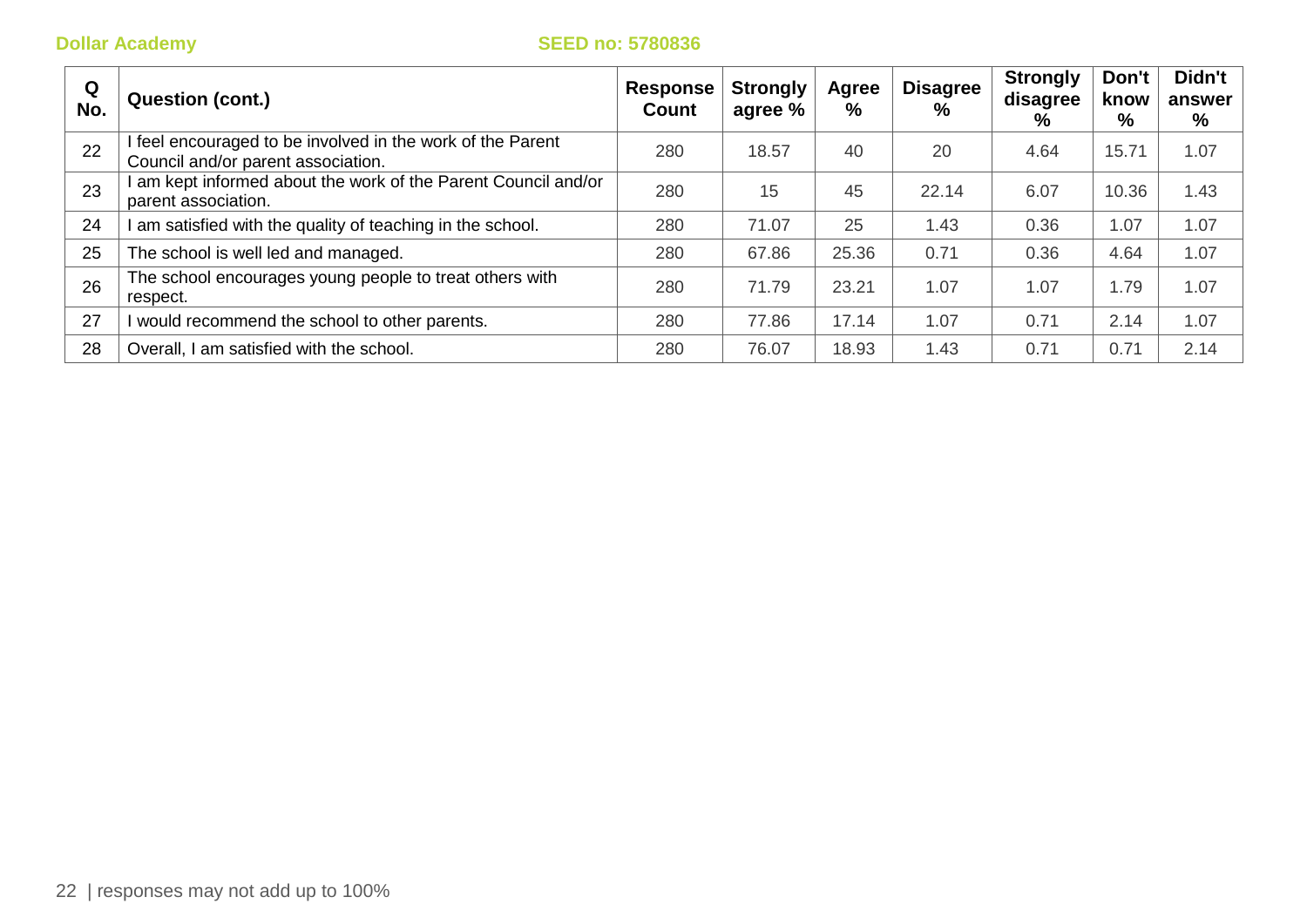| Q<br>No. | <b>Question (cont.)</b>                                                                        | <b>Response</b><br>Count | <b>Strongly</b><br>agree % | Agree<br>% | <b>Disagree</b><br>% | <b>Strongly</b><br>disagree<br>% | Don't<br>know<br>% | Didn't<br>answer<br>% |
|----------|------------------------------------------------------------------------------------------------|--------------------------|----------------------------|------------|----------------------|----------------------------------|--------------------|-----------------------|
| 22       | feel encouraged to be involved in the work of the Parent<br>Council and/or parent association. | 280                      | 18.57                      | 40         | 20                   | 4.64                             | 15.71              | 1.07                  |
| 23       | am kept informed about the work of the Parent Council and/or<br>parent association.            | 280                      | 15                         | 45         | 22.14                | 6.07                             | 10.36              | 1.43                  |
| 24       | am satisfied with the quality of teaching in the school.                                       | 280                      | 71.07                      | 25         | 1.43                 | 0.36                             | 1.07               | 1.07                  |
| 25       | The school is well led and managed.                                                            | 280                      | 67.86                      | 25.36      | 0.71                 | 0.36                             | 4.64               | 1.07                  |
| 26       | The school encourages young people to treat others with<br>respect.                            | 280                      | 71.79                      | 23.21      | 1.07                 | 1.07                             | 1.79               | 1.07                  |
| 27       | would recommend the school to other parents.                                                   | 280                      | 77.86                      | 17.14      | 1.07                 | 0.71                             | 2.14               | 1.07                  |
| 28       | Overall, I am satisfied with the school.                                                       | 280                      | 76.07                      | 18.93      | 1.43                 | 0.71                             | 0.71               | 2.14                  |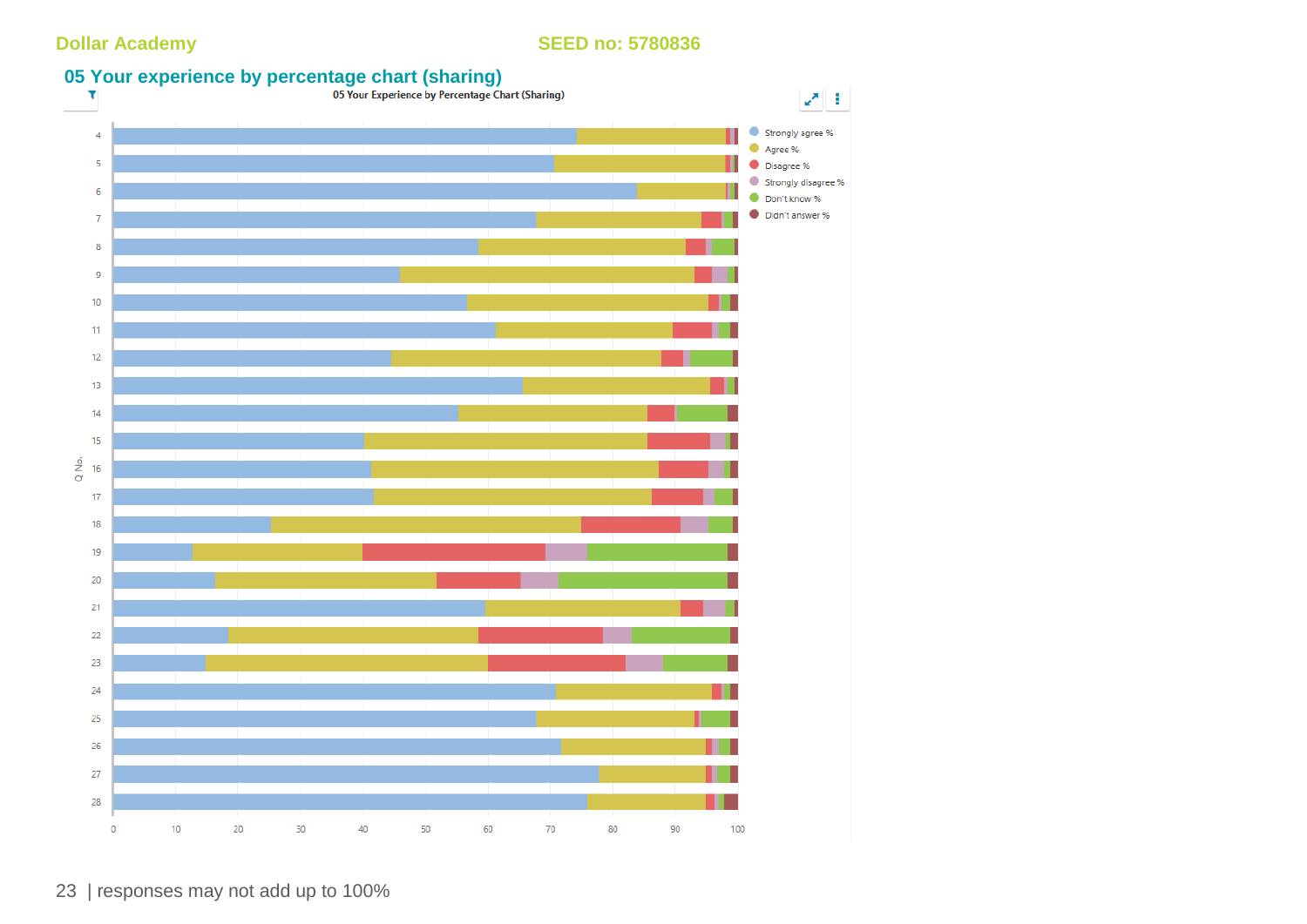

23 | responses may not add up to 100%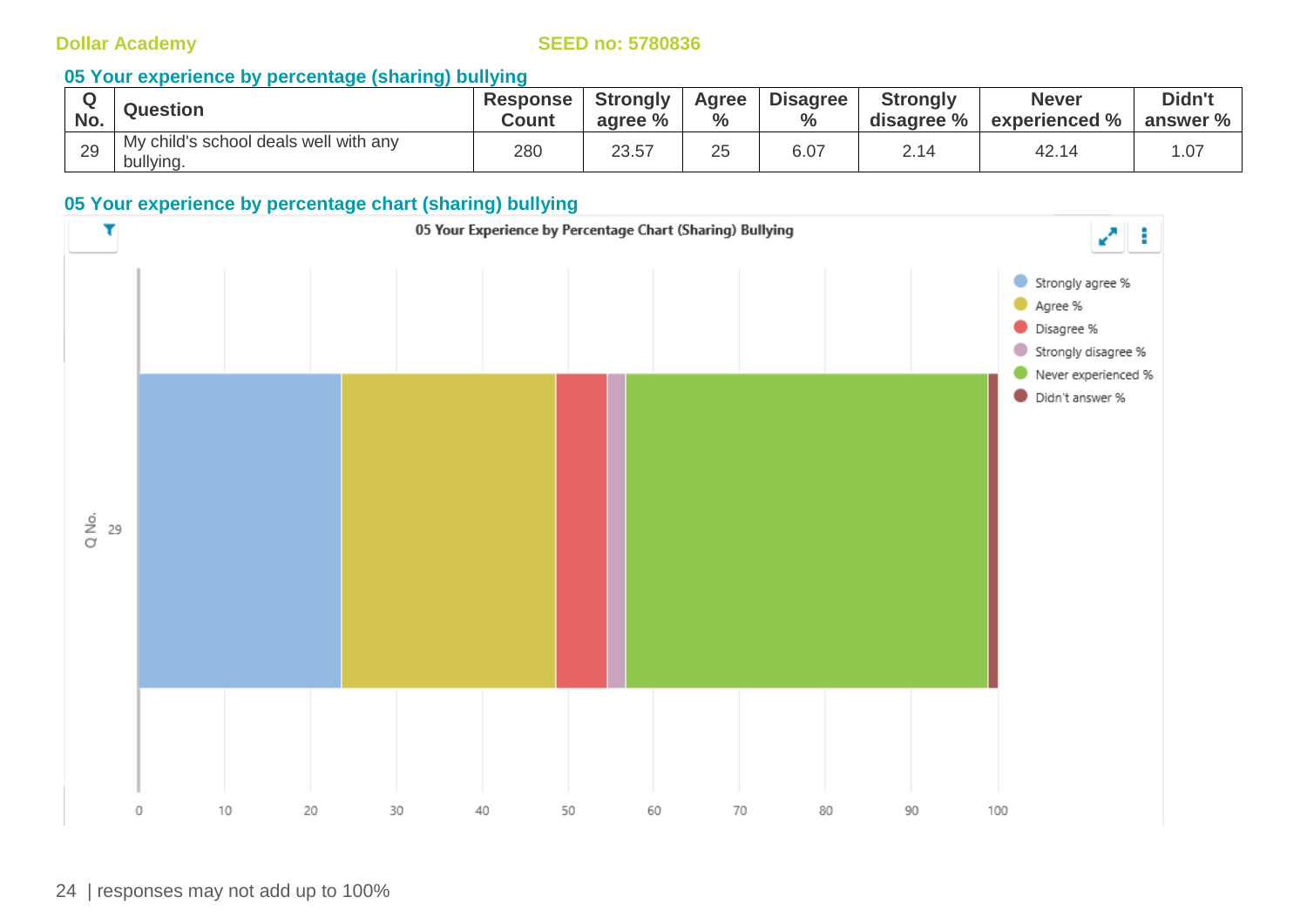### **05 Your experience by percentage (sharing) bullying**

| No. | <b>Question</b>                                    | Response <sup>l</sup><br>Count | <b>Strongly</b><br>agree % | Agree<br>$\frac{6}{6}$ | <b>Disagree</b><br>$\%$ | <b>Strongly</b><br>disagree % | <b>Never</b><br>experienced % | Didn't<br>answer % |
|-----|----------------------------------------------------|--------------------------------|----------------------------|------------------------|-------------------------|-------------------------------|-------------------------------|--------------------|
| 29  | My child's school deals well with any<br>bullying. | 280                            | 23.57                      | 25                     | 6.07                    | $\overline{A}$<br>2.14        | 42. $\overline{1}$            | .07                |

### **05 Your experience by percentage chart (sharing) bullying**

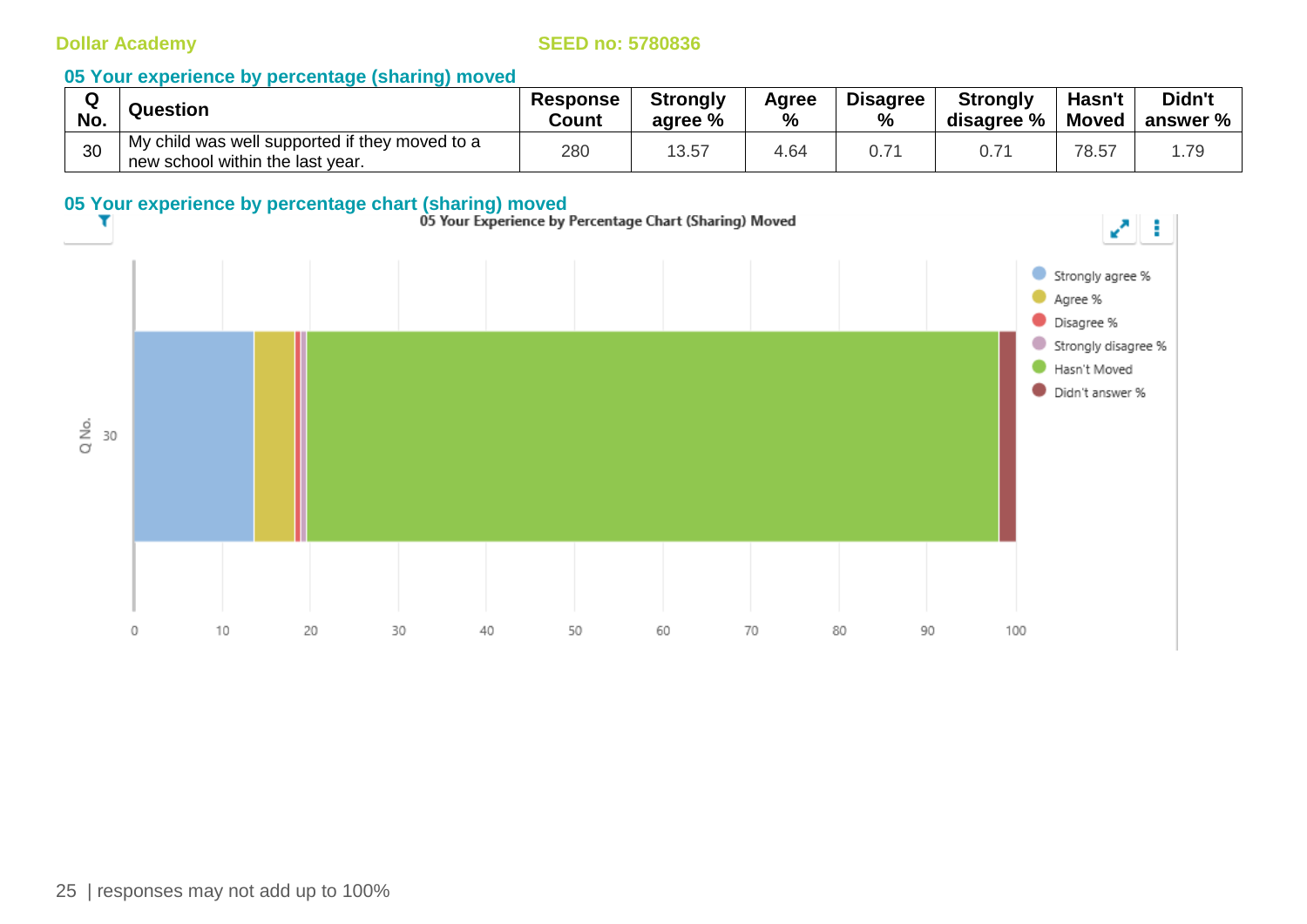| $\sim$ | <b>Question</b>                                                                    | <b>Response</b> | <b>Strongly</b> | Agree | <b>Disagree</b> | <b>Strongly</b> | Hasn't | Didn't   |
|--------|------------------------------------------------------------------------------------|-----------------|-----------------|-------|-----------------|-----------------|--------|----------|
| No.    |                                                                                    | Count           | agree %         | %     | %               | disagree %      | Moved  | answer % |
| 30     | My child was well supported if they moved to a<br>new school within the last year. | 280             | 13.57           | 4.64  | 0.7'            | 0.7             | 78.57  | .79      |

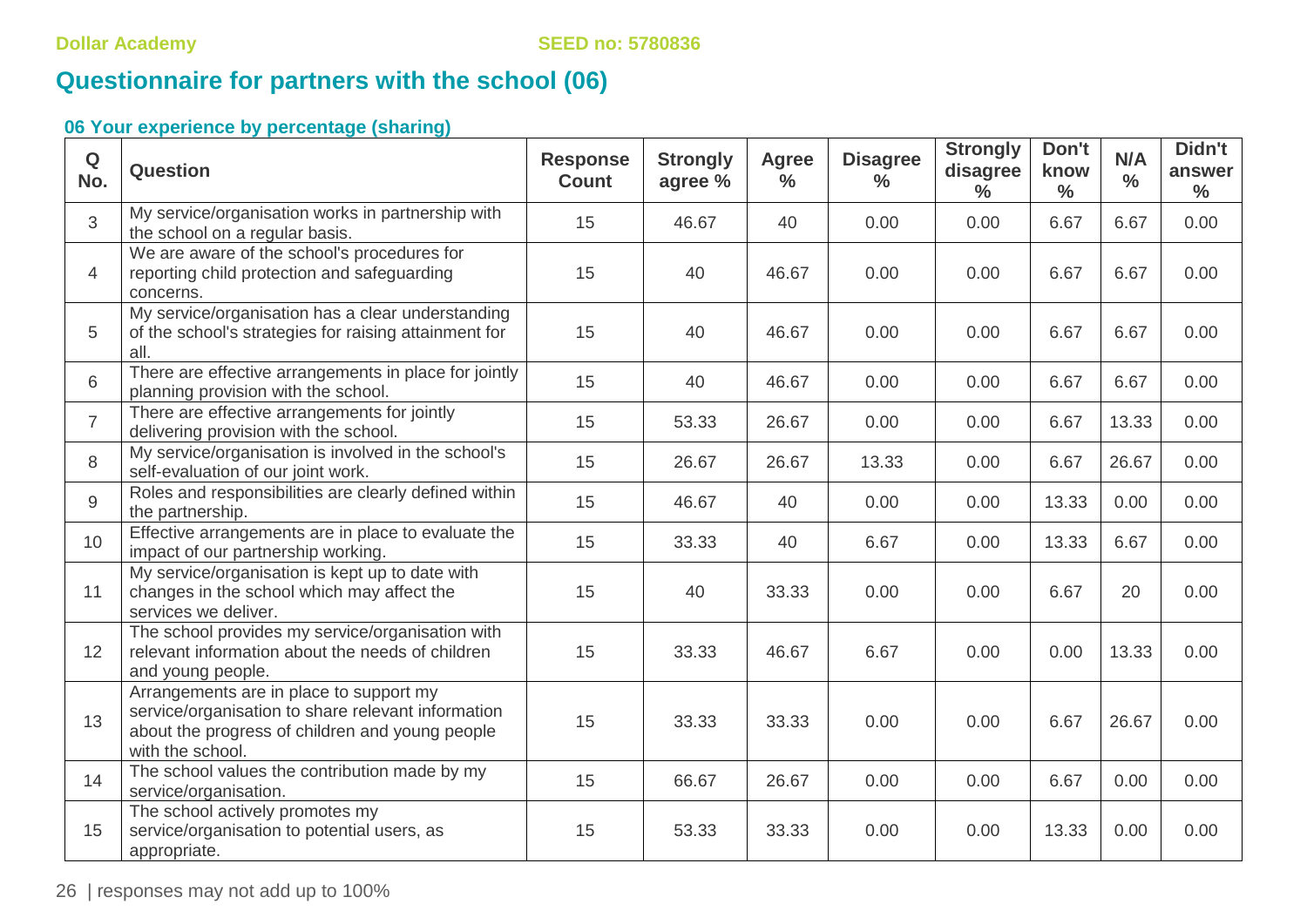# **Questionnaire for partners with the school (06)**

| $\mathbf Q$<br>No. | <b>Question</b>                                                                                                                                                      | <b>Response</b><br><b>Count</b> | <b>Strongly</b><br>agree % | <b>Agree</b><br>$\frac{0}{0}$ | <b>Disagree</b><br>$\frac{9}{6}$ | <b>Strongly</b><br>disagree<br>$\frac{0}{0}$ | Don't<br>know<br>$\frac{0}{0}$ | N/A<br>$\frac{0}{0}$ | Didn't<br>answer<br>$\frac{0}{0}$ |
|--------------------|----------------------------------------------------------------------------------------------------------------------------------------------------------------------|---------------------------------|----------------------------|-------------------------------|----------------------------------|----------------------------------------------|--------------------------------|----------------------|-----------------------------------|
| 3                  | My service/organisation works in partnership with<br>the school on a regular basis.                                                                                  | 15                              | 46.67                      | 40                            | 0.00                             | 0.00                                         | 6.67                           | 6.67                 | 0.00                              |
| 4                  | We are aware of the school's procedures for<br>reporting child protection and safeguarding<br>concerns.                                                              | 15                              | 40                         | 46.67                         | 0.00                             | 0.00                                         | 6.67                           | 6.67                 | 0.00                              |
| 5                  | My service/organisation has a clear understanding<br>of the school's strategies for raising attainment for<br>all.                                                   | 15                              | 40                         | 46.67                         | 0.00                             | 0.00                                         | 6.67                           | 6.67                 | 0.00                              |
| 6                  | There are effective arrangements in place for jointly<br>planning provision with the school.                                                                         | 15                              | 40                         | 46.67                         | 0.00                             | 0.00                                         | 6.67                           | 6.67                 | 0.00                              |
| $\overline{7}$     | There are effective arrangements for jointly<br>delivering provision with the school.                                                                                | 15                              | 53.33                      | 26.67                         | 0.00                             | 0.00                                         | 6.67                           | 13.33                | 0.00                              |
| 8                  | My service/organisation is involved in the school's<br>self-evaluation of our joint work.                                                                            | 15                              | 26.67                      | 26.67                         | 13.33                            | 0.00                                         | 6.67                           | 26.67                | 0.00                              |
| $\overline{9}$     | Roles and responsibilities are clearly defined within<br>the partnership.                                                                                            | 15                              | 46.67                      | 40                            | 0.00                             | 0.00                                         | 13.33                          | 0.00                 | 0.00                              |
| 10                 | Effective arrangements are in place to evaluate the<br>impact of our partnership working.                                                                            | 15                              | 33.33                      | 40                            | 6.67                             | 0.00                                         | 13.33                          | 6.67                 | 0.00                              |
| 11                 | My service/organisation is kept up to date with<br>changes in the school which may affect the<br>services we deliver.                                                | 15                              | 40                         | 33.33                         | 0.00                             | 0.00                                         | 6.67                           | 20                   | 0.00                              |
| 12                 | The school provides my service/organisation with<br>relevant information about the needs of children<br>and young people.                                            | 15                              | 33.33                      | 46.67                         | 6.67                             | 0.00                                         | 0.00                           | 13.33                | 0.00                              |
| 13                 | Arrangements are in place to support my<br>service/organisation to share relevant information<br>about the progress of children and young people<br>with the school. | 15                              | 33.33                      | 33.33                         | 0.00                             | 0.00                                         | 6.67                           | 26.67                | 0.00                              |
| 14                 | The school values the contribution made by my<br>service/organisation.                                                                                               | 15                              | 66.67                      | 26.67                         | 0.00                             | 0.00                                         | 6.67                           | 0.00                 | 0.00                              |
| 15                 | The school actively promotes my<br>service/organisation to potential users, as<br>appropriate.                                                                       | 15                              | 53.33                      | 33.33                         | 0.00                             | 0.00                                         | 13.33                          | 0.00                 | 0.00                              |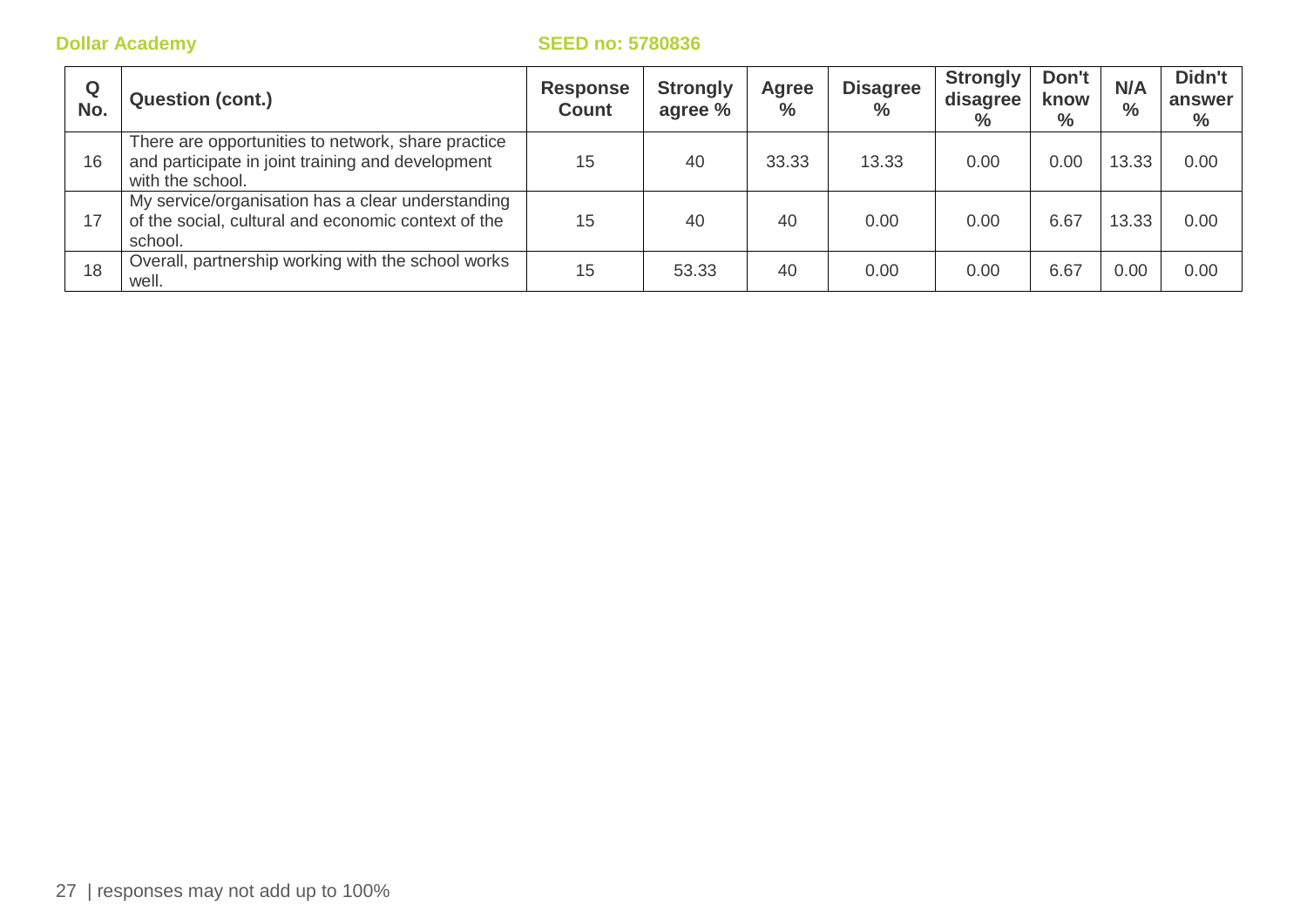| Q<br>No. | <b>Question (cont.)</b>                                                                                                     | <b>Response</b><br><b>Count</b> | <b>Strongly</b><br>agree % | Agree<br>$\%$ | <b>Disagree</b><br>$\%$ | <b>Strongly</b><br>disagree<br>$\%$ | Don't<br>know<br>$\frac{0}{0}$ | N/A<br>$\frac{0}{0}$ | Didn't<br>answer<br>$\%$ |
|----------|-----------------------------------------------------------------------------------------------------------------------------|---------------------------------|----------------------------|---------------|-------------------------|-------------------------------------|--------------------------------|----------------------|--------------------------|
| 16       | There are opportunities to network, share practice<br>and participate in joint training and development<br>with the school. | 15                              | 40                         | 33.33         | 13.33                   | 0.00                                | 0.00                           | 13.33                | 0.00                     |
| 17       | My service/organisation has a clear understanding<br>of the social, cultural and economic context of the<br>school.         | 15                              | 40                         | 40            | 0.00                    | 0.00                                | 6.67                           | 13.33                | 0.00                     |
| 18       | Overall, partnership working with the school works<br>well.                                                                 | 15                              | 53.33                      | 40            | 0.00                    | 0.00                                | 6.67                           | 0.00                 | 0.00                     |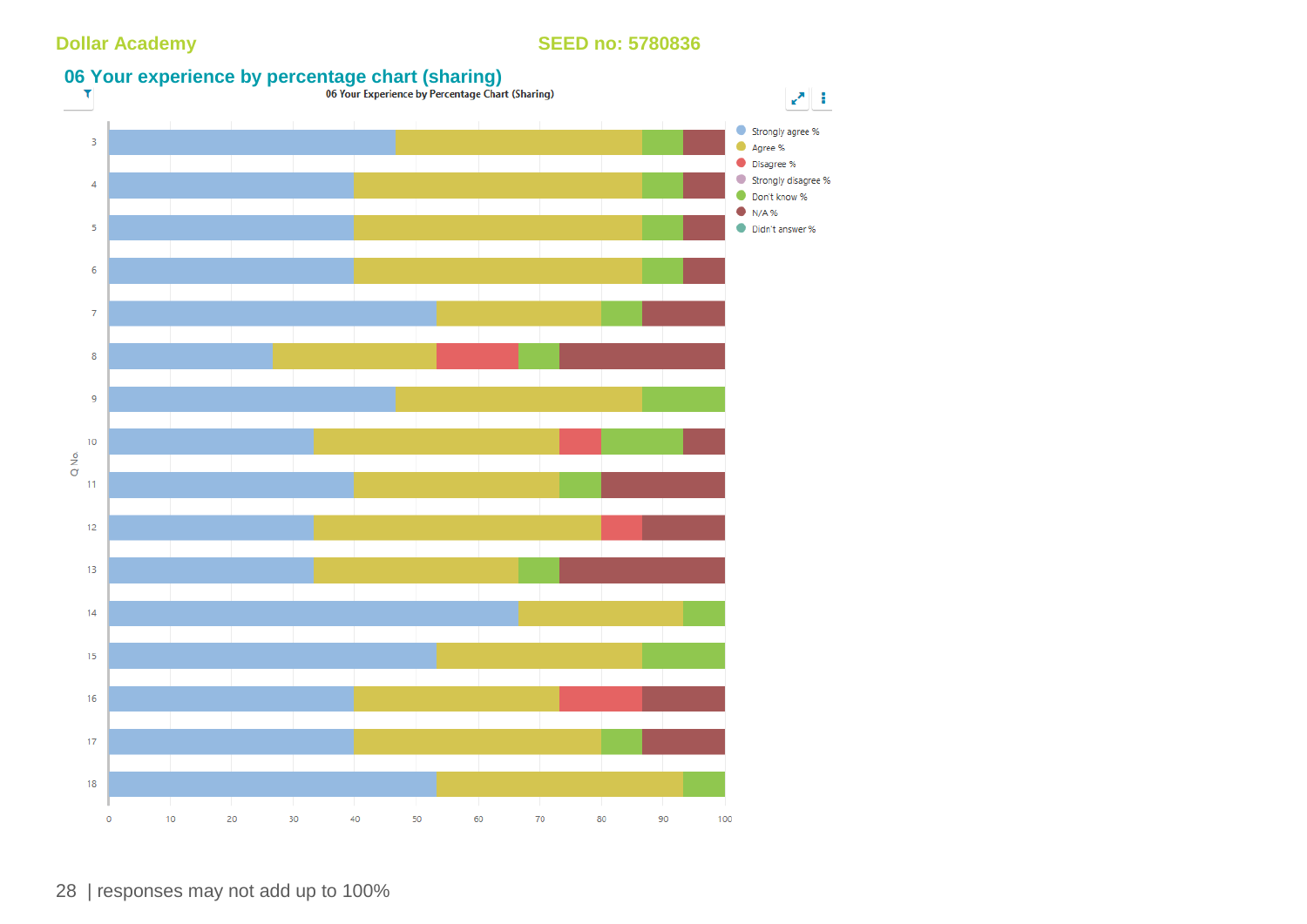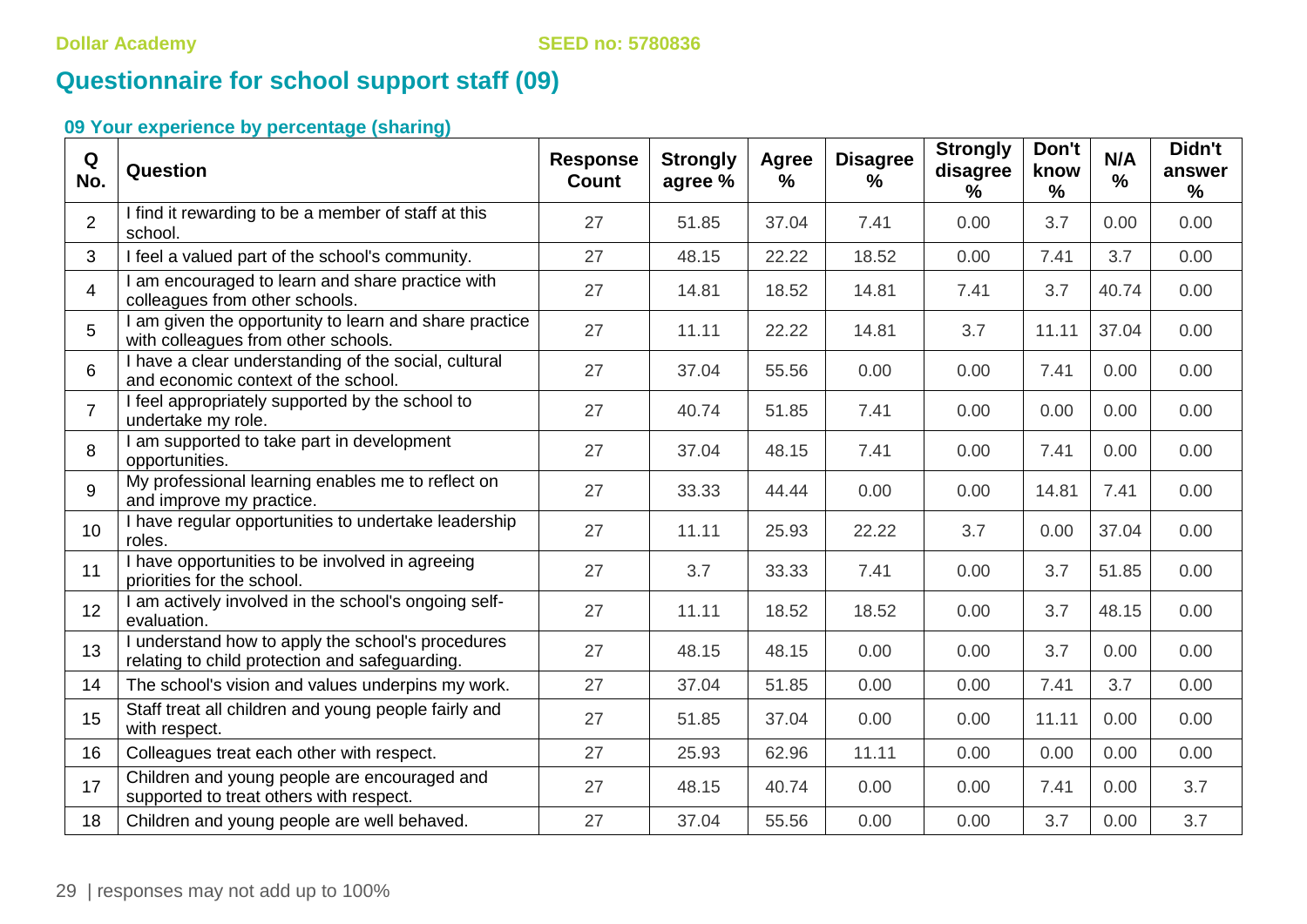# **Questionnaire for school support staff (09)**

| Q<br>No.       | Question                                                                                            | <b>Response</b><br><b>Count</b> | <b>Strongly</b><br>agree % | <b>Agree</b><br>% | <b>Disagree</b><br>% | <b>Strongly</b><br>disagree<br>$\%$ | Don't<br>know<br>$\frac{9}{6}$ | N/A<br>$\frac{9}{6}$ | Didn't<br>answer<br>$\frac{9}{6}$ |
|----------------|-----------------------------------------------------------------------------------------------------|---------------------------------|----------------------------|-------------------|----------------------|-------------------------------------|--------------------------------|----------------------|-----------------------------------|
| $\overline{2}$ | I find it rewarding to be a member of staff at this<br>school.                                      | 27                              | 51.85                      | 37.04             | 7.41                 | 0.00                                | 3.7                            | 0.00                 | 0.00                              |
| 3              | I feel a valued part of the school's community.                                                     | 27                              | 48.15                      | 22.22             | 18.52                | 0.00                                | 7.41                           | 3.7                  | 0.00                              |
| $\overline{4}$ | I am encouraged to learn and share practice with<br>colleagues from other schools.                  | 27                              | 14.81                      | 18.52             | 14.81                | 7.41                                | 3.7                            | 40.74                | 0.00                              |
| 5              | I am given the opportunity to learn and share practice<br>with colleagues from other schools.       | 27                              | 11.11                      | 22.22             | 14.81                | 3.7                                 | 11.11                          | 37.04                | 0.00                              |
| 6              | I have a clear understanding of the social, cultural<br>and economic context of the school.         | 27                              | 37.04                      | 55.56             | 0.00                 | 0.00                                | 7.41                           | 0.00                 | 0.00                              |
| $\overline{7}$ | I feel appropriately supported by the school to<br>undertake my role.                               | 27                              | 40.74                      | 51.85             | 7.41                 | 0.00                                | 0.00                           | 0.00                 | 0.00                              |
| 8              | I am supported to take part in development<br>opportunities.                                        | 27                              | 37.04                      | 48.15             | 7.41                 | 0.00                                | 7.41                           | 0.00                 | 0.00                              |
| 9              | My professional learning enables me to reflect on<br>and improve my practice.                       | 27                              | 33.33                      | 44.44             | 0.00                 | 0.00                                | 14.81                          | 7.41                 | 0.00                              |
| 10             | I have regular opportunities to undertake leadership<br>roles.                                      | 27                              | 11.11                      | 25.93             | 22.22                | 3.7                                 | 0.00                           | 37.04                | 0.00                              |
| 11             | I have opportunities to be involved in agreeing<br>priorities for the school.                       | 27                              | 3.7                        | 33.33             | 7.41                 | 0.00                                | 3.7                            | 51.85                | 0.00                              |
| 12             | I am actively involved in the school's ongoing self-<br>evaluation.                                 | 27                              | 11.11                      | 18.52             | 18.52                | 0.00                                | 3.7                            | 48.15                | 0.00                              |
| 13             | I understand how to apply the school's procedures<br>relating to child protection and safeguarding. | 27                              | 48.15                      | 48.15             | 0.00                 | 0.00                                | 3.7                            | 0.00                 | 0.00                              |
| 14             | The school's vision and values underpins my work.                                                   | 27                              | 37.04                      | 51.85             | 0.00                 | 0.00                                | 7.41                           | 3.7                  | 0.00                              |
| 15             | Staff treat all children and young people fairly and<br>with respect.                               | 27                              | 51.85                      | 37.04             | 0.00                 | 0.00                                | 11.11                          | 0.00                 | 0.00                              |
| 16             | Colleagues treat each other with respect.                                                           | 27                              | 25.93                      | 62.96             | 11.11                | 0.00                                | 0.00                           | 0.00                 | 0.00                              |
| 17             | Children and young people are encouraged and<br>supported to treat others with respect.             | 27                              | 48.15                      | 40.74             | 0.00                 | 0.00                                | 7.41                           | 0.00                 | 3.7                               |
| 18             | Children and young people are well behaved.                                                         | 27                              | 37.04                      | 55.56             | 0.00                 | 0.00                                | 3.7                            | 0.00                 | 3.7                               |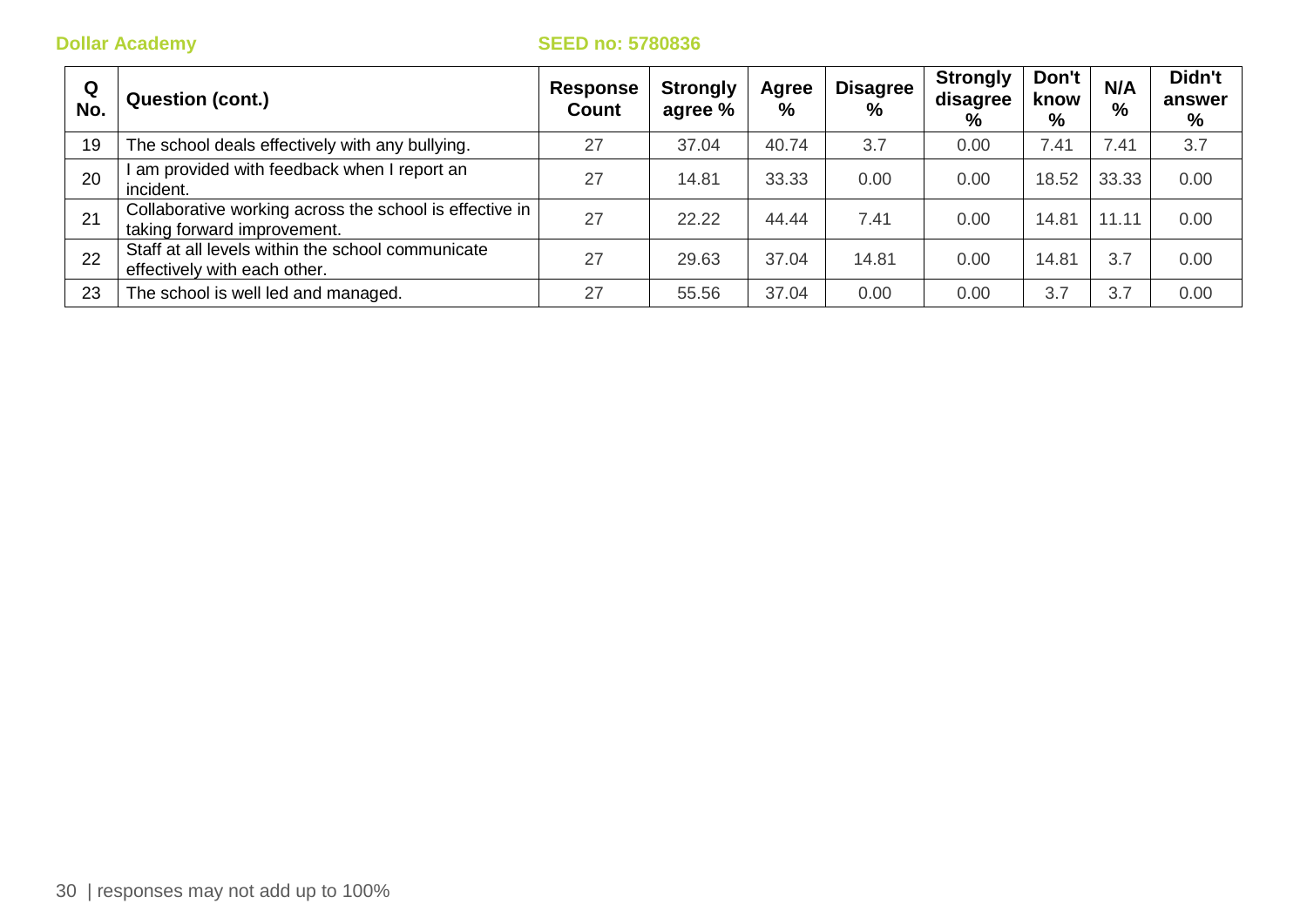| Q<br>No. | <b>Question (cont.)</b>                                                                | <b>Response</b><br>Count | <b>Strongly</b><br>agree % | Agree<br>$\frac{9}{6}$ | <b>Disagree</b><br>$\%$ | <b>Strongly</b><br>disagree<br>% | Don't<br>know<br>% | N/A<br>$\%$ | Didn't<br>answer<br>% |
|----------|----------------------------------------------------------------------------------------|--------------------------|----------------------------|------------------------|-------------------------|----------------------------------|--------------------|-------------|-----------------------|
| 19       | The school deals effectively with any bullying.                                        | 27                       | 37.04                      | 40.74                  | 3.7                     | 0.00                             | 7.41               | 7.41        | 3.7                   |
| 20       | am provided with feedback when I report an<br>incident.                                | 27                       | 14.81                      | 33.33                  | 0.00                    | 0.00                             | 18.52              | 33.33       | 0.00                  |
| 21       | Collaborative working across the school is effective in<br>taking forward improvement. | 27                       | 22.22                      | 44.44                  | 7.41                    | 0.00                             | 14.81              | 11.11       | 0.00                  |
| 22       | Staff at all levels within the school communicate<br>effectively with each other.      | 27                       | 29.63                      | 37.04                  | 14.81                   | 0.00                             | 14.81              | 3.7         | 0.00                  |
| 23       | The school is well led and managed.                                                    | 27                       | 55.56                      | 37.04                  | 0.00                    | 0.00                             | 3.7                | 3.7         | 0.00                  |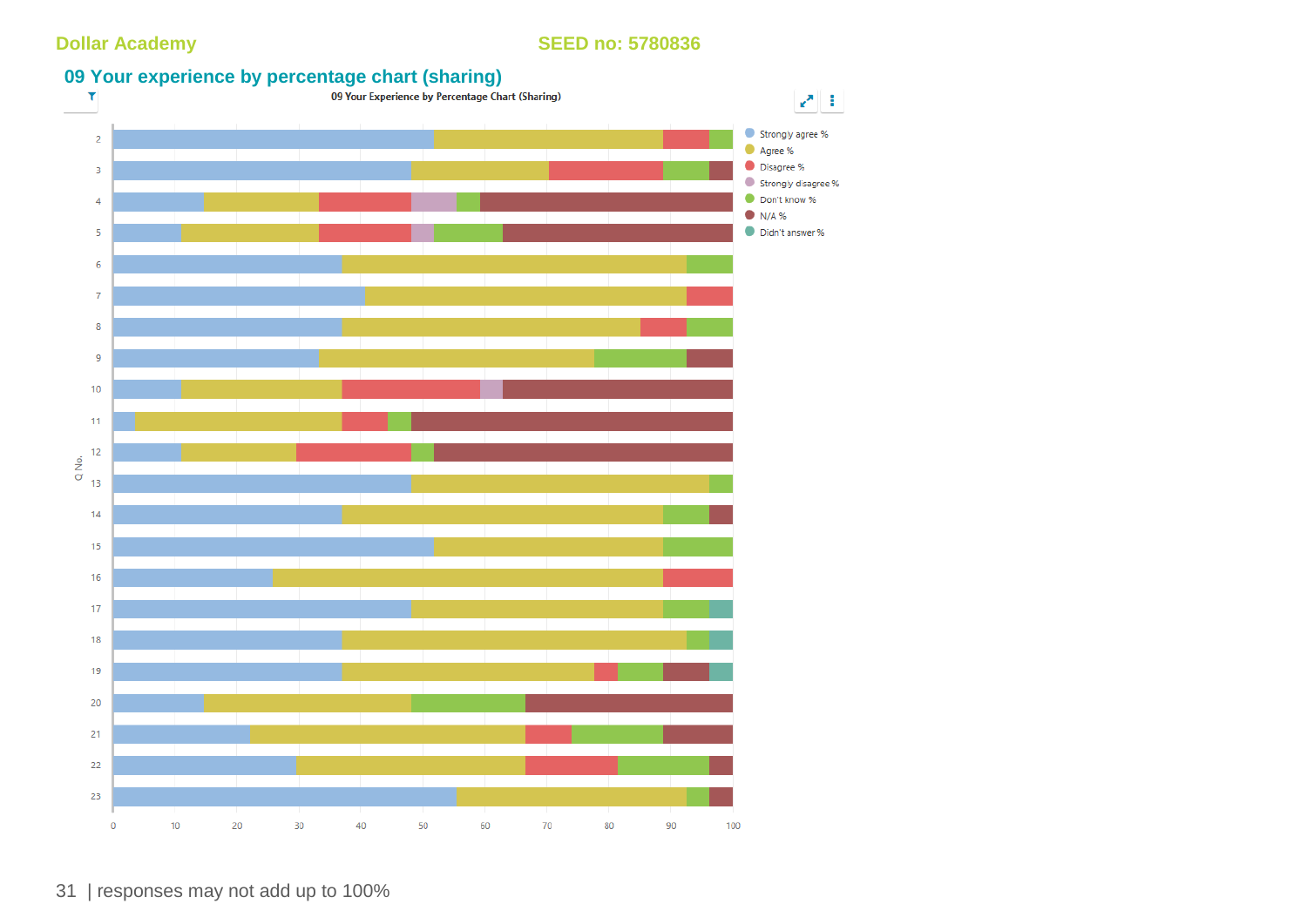

31 | responses may not add up to 100%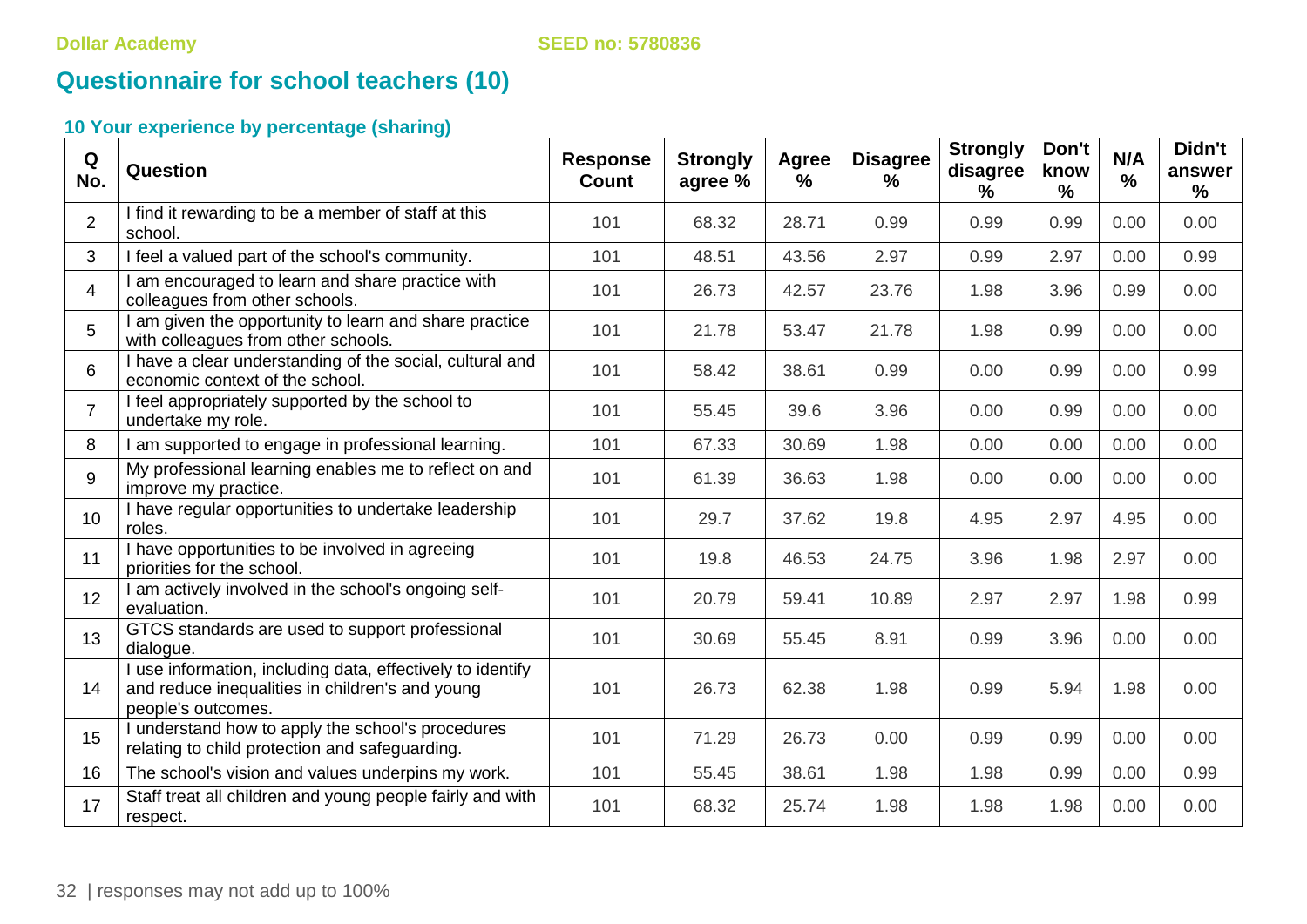# **Questionnaire for school teachers (10)**

| Q<br>No.       | Question                                                                                                                            | <b>Response</b><br><b>Count</b> | <b>Strongly</b><br>agree % | Agree<br>$\frac{9}{6}$ | <b>Disagree</b><br>$\frac{9}{6}$ | <b>Strongly</b><br>disagree<br>$\frac{9}{6}$ | Don't<br>know<br>% | N/A<br>$\%$ | Didn't<br>answer<br>$\frac{1}{2}$ |
|----------------|-------------------------------------------------------------------------------------------------------------------------------------|---------------------------------|----------------------------|------------------------|----------------------------------|----------------------------------------------|--------------------|-------------|-----------------------------------|
| $\overline{2}$ | I find it rewarding to be a member of staff at this<br>school.                                                                      | 101                             | 68.32                      | 28.71                  | 0.99                             | 0.99                                         | 0.99               | 0.00        | 0.00                              |
| 3              | I feel a valued part of the school's community.                                                                                     | 101                             | 48.51                      | 43.56                  | 2.97                             | 0.99                                         | 2.97               | 0.00        | 0.99                              |
| $\overline{4}$ | I am encouraged to learn and share practice with<br>colleagues from other schools.                                                  | 101                             | 26.73                      | 42.57                  | 23.76                            | 1.98                                         | 3.96               | 0.99        | 0.00                              |
| 5              | I am given the opportunity to learn and share practice<br>with colleagues from other schools.                                       | 101                             | 21.78                      | 53.47                  | 21.78                            | 1.98                                         | 0.99               | 0.00        | 0.00                              |
| 6              | I have a clear understanding of the social, cultural and<br>economic context of the school.                                         | 101                             | 58.42                      | 38.61                  | 0.99                             | 0.00                                         | 0.99               | 0.00        | 0.99                              |
| $\overline{7}$ | I feel appropriately supported by the school to<br>undertake my role.                                                               | 101                             | 55.45                      | 39.6                   | 3.96                             | 0.00                                         | 0.99               | 0.00        | 0.00                              |
| 8              | I am supported to engage in professional learning.                                                                                  | 101                             | 67.33                      | 30.69                  | 1.98                             | 0.00                                         | 0.00               | 0.00        | 0.00                              |
| 9              | My professional learning enables me to reflect on and<br>improve my practice.                                                       | 101                             | 61.39                      | 36.63                  | 1.98                             | 0.00                                         | 0.00               | 0.00        | 0.00                              |
| 10             | I have regular opportunities to undertake leadership<br>roles.                                                                      | 101                             | 29.7                       | 37.62                  | 19.8                             | 4.95                                         | 2.97               | 4.95        | 0.00                              |
| 11             | I have opportunities to be involved in agreeing<br>priorities for the school.                                                       | 101                             | 19.8                       | 46.53                  | 24.75                            | 3.96                                         | 1.98               | 2.97        | 0.00                              |
| 12             | I am actively involved in the school's ongoing self-<br>evaluation.                                                                 | 101                             | 20.79                      | 59.41                  | 10.89                            | 2.97                                         | 2.97               | 1.98        | 0.99                              |
| 13             | GTCS standards are used to support professional<br>dialogue.                                                                        | 101                             | 30.69                      | 55.45                  | 8.91                             | 0.99                                         | 3.96               | 0.00        | 0.00                              |
| 14             | I use information, including data, effectively to identify<br>and reduce inequalities in children's and young<br>people's outcomes. | 101                             | 26.73                      | 62.38                  | 1.98                             | 0.99                                         | 5.94               | 1.98        | 0.00                              |
| 15             | I understand how to apply the school's procedures<br>relating to child protection and safeguarding.                                 | 101                             | 71.29                      | 26.73                  | 0.00                             | 0.99                                         | 0.99               | 0.00        | 0.00                              |
| 16             | The school's vision and values underpins my work.                                                                                   | 101                             | 55.45                      | 38.61                  | 1.98                             | 1.98                                         | 0.99               | 0.00        | 0.99                              |
| 17             | Staff treat all children and young people fairly and with<br>respect.                                                               | 101                             | 68.32                      | 25.74                  | 1.98                             | 1.98                                         | 1.98               | 0.00        | 0.00                              |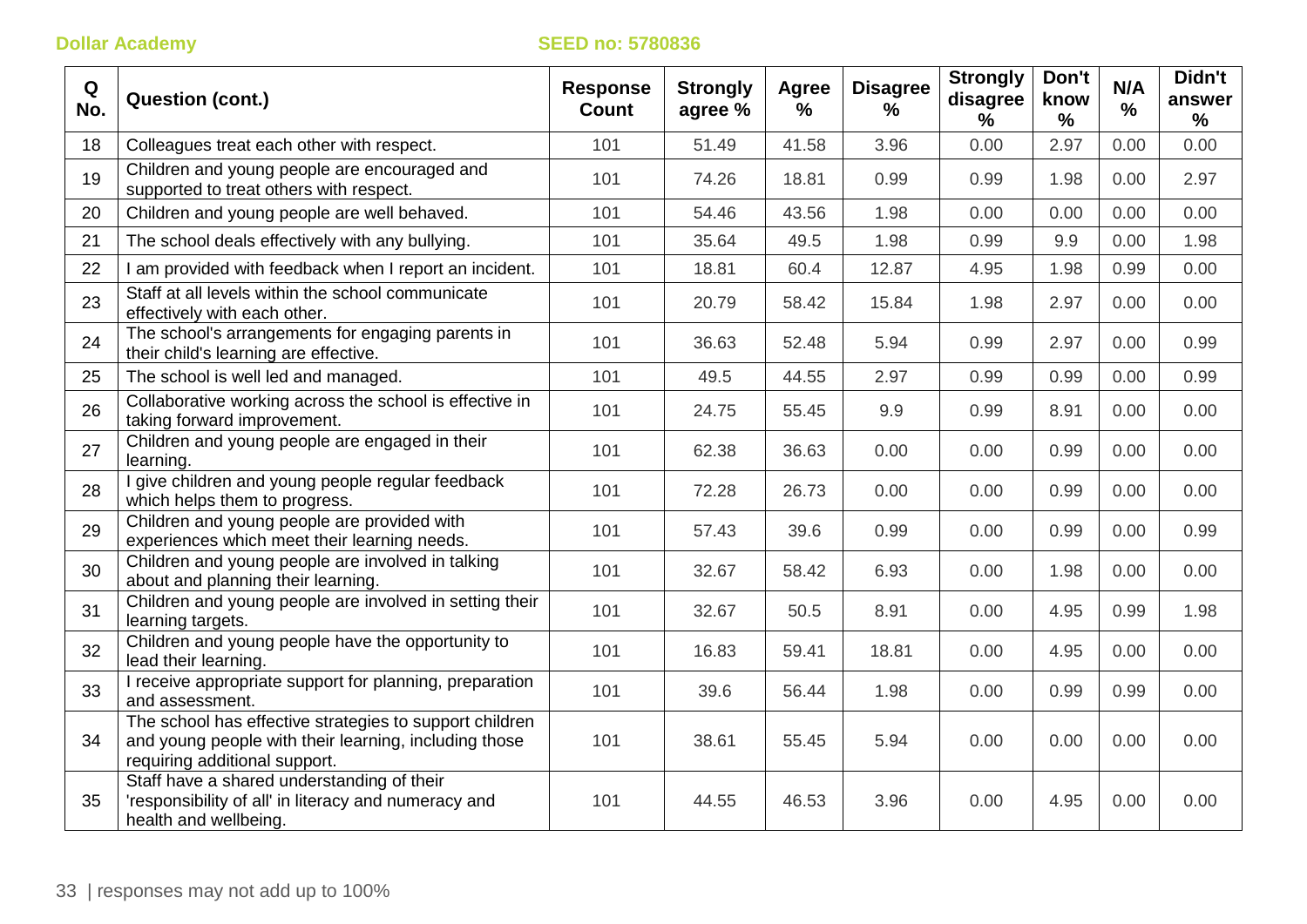| Q<br>No. | <b>Question (cont.)</b>                                                                                                                           | <b>Response</b><br><b>Count</b> | <b>Strongly</b><br>agree % | <b>Agree</b><br>$\frac{1}{2}$ | <b>Disagree</b><br>% | <b>Strongly</b><br>disagree<br>$\frac{0}{0}$ | Don't<br>know<br>% | N/A<br>$\frac{0}{0}$ | Didn't<br>answer<br>$\frac{9}{6}$ |
|----------|---------------------------------------------------------------------------------------------------------------------------------------------------|---------------------------------|----------------------------|-------------------------------|----------------------|----------------------------------------------|--------------------|----------------------|-----------------------------------|
| 18       | Colleagues treat each other with respect.                                                                                                         | 101                             | 51.49                      | 41.58                         | 3.96                 | 0.00                                         | 2.97               | 0.00                 | 0.00                              |
| 19       | Children and young people are encouraged and<br>supported to treat others with respect.                                                           | 101                             | 74.26                      | 18.81                         | 0.99                 | 0.99                                         | 1.98               | 0.00                 | 2.97                              |
| 20       | Children and young people are well behaved.                                                                                                       | 101                             | 54.46                      | 43.56                         | 1.98                 | 0.00                                         | 0.00               | 0.00                 | 0.00                              |
| 21       | The school deals effectively with any bullying.                                                                                                   | 101                             | 35.64                      | 49.5                          | 1.98                 | 0.99                                         | 9.9                | 0.00                 | 1.98                              |
| 22       | I am provided with feedback when I report an incident.                                                                                            | 101                             | 18.81                      | 60.4                          | 12.87                | 4.95                                         | 1.98               | 0.99                 | 0.00                              |
| 23       | Staff at all levels within the school communicate<br>effectively with each other.                                                                 | 101                             | 20.79                      | 58.42                         | 15.84                | 1.98                                         | 2.97               | 0.00                 | 0.00                              |
| 24       | The school's arrangements for engaging parents in<br>their child's learning are effective.                                                        | 101                             | 36.63                      | 52.48                         | 5.94                 | 0.99                                         | 2.97               | 0.00                 | 0.99                              |
| 25       | The school is well led and managed.                                                                                                               | 101                             | 49.5                       | 44.55                         | 2.97                 | 0.99                                         | 0.99               | 0.00                 | 0.99                              |
| 26       | Collaborative working across the school is effective in<br>taking forward improvement.                                                            | 101                             | 24.75                      | 55.45                         | 9.9                  | 0.99                                         | 8.91               | 0.00                 | 0.00                              |
| 27       | Children and young people are engaged in their<br>learning.                                                                                       | 101                             | 62.38                      | 36.63                         | 0.00                 | 0.00                                         | 0.99               | 0.00                 | 0.00                              |
| 28       | I give children and young people regular feedback<br>which helps them to progress.                                                                | 101                             | 72.28                      | 26.73                         | 0.00                 | 0.00                                         | 0.99               | 0.00                 | 0.00                              |
| 29       | Children and young people are provided with<br>experiences which meet their learning needs.                                                       | 101                             | 57.43                      | 39.6                          | 0.99                 | 0.00                                         | 0.99               | 0.00                 | 0.99                              |
| 30       | Children and young people are involved in talking<br>about and planning their learning.                                                           | 101                             | 32.67                      | 58.42                         | 6.93                 | 0.00                                         | 1.98               | 0.00                 | 0.00                              |
| 31       | Children and young people are involved in setting their<br>learning targets.                                                                      | 101                             | 32.67                      | 50.5                          | 8.91                 | 0.00                                         | 4.95               | 0.99                 | 1.98                              |
| 32       | Children and young people have the opportunity to<br>lead their learning.                                                                         | 101                             | 16.83                      | 59.41                         | 18.81                | 0.00                                         | 4.95               | 0.00                 | 0.00                              |
| 33       | I receive appropriate support for planning, preparation<br>and assessment.                                                                        | 101                             | 39.6                       | 56.44                         | 1.98                 | 0.00                                         | 0.99               | 0.99                 | 0.00                              |
| 34       | The school has effective strategies to support children<br>and young people with their learning, including those<br>requiring additional support. | 101                             | 38.61                      | 55.45                         | 5.94                 | 0.00                                         | 0.00               | 0.00                 | 0.00                              |
| 35       | Staff have a shared understanding of their<br>'responsibility of all' in literacy and numeracy and<br>health and wellbeing.                       | 101                             | 44.55                      | 46.53                         | 3.96                 | 0.00                                         | 4.95               | 0.00                 | 0.00                              |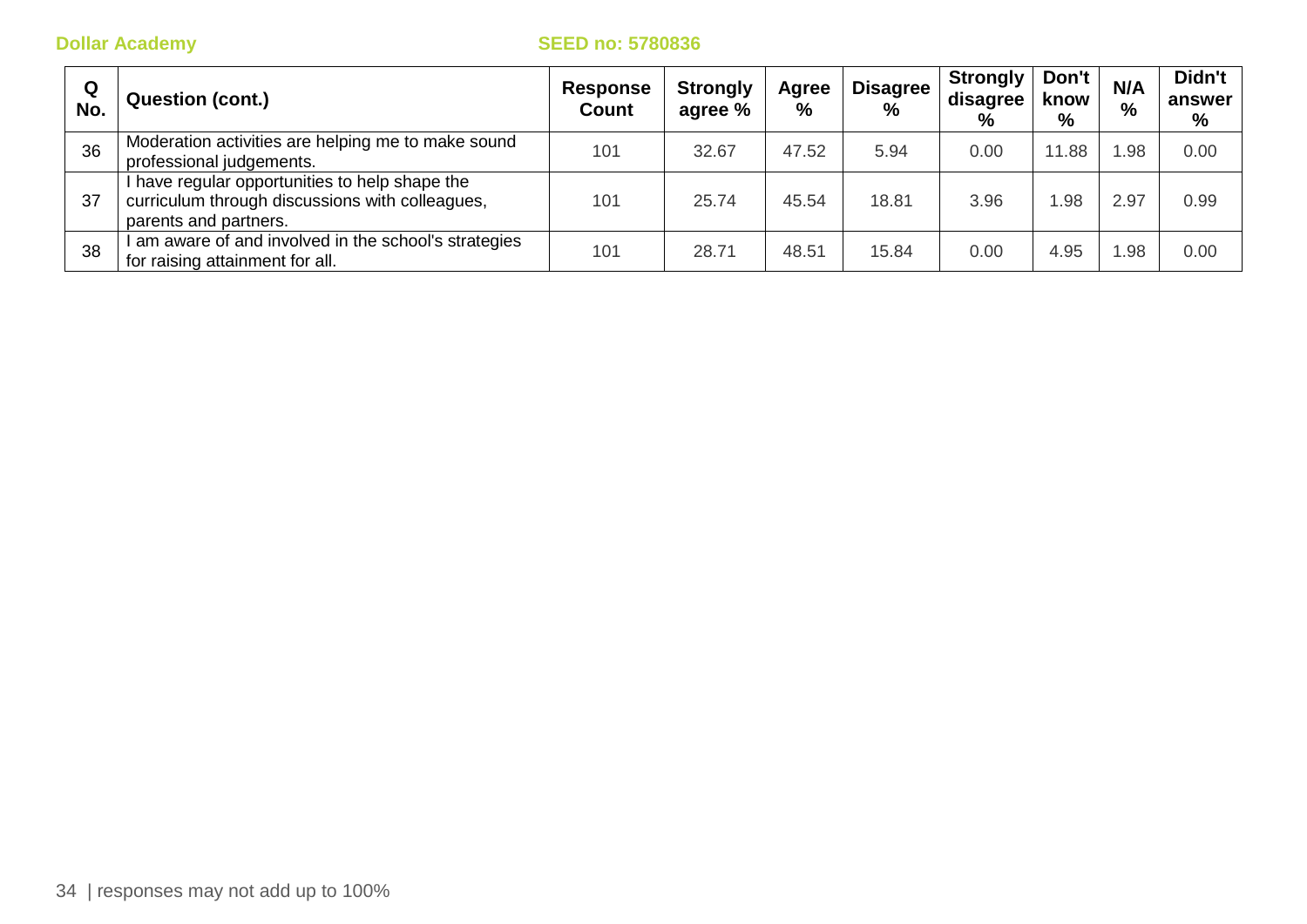| Q<br>No. | <b>Question (cont.)</b>                                                                                                  | <b>Response</b><br>Count | <b>Strongly</b><br>agree % | Agree<br>% | <b>Disagree</b><br>$\frac{0}{0}$ | <b>Strongly</b><br>disagree<br>$\frac{0}{0}$ | Don't<br>know<br>$\%$ | N/A<br>% | Didn't<br>answer<br>% |
|----------|--------------------------------------------------------------------------------------------------------------------------|--------------------------|----------------------------|------------|----------------------------------|----------------------------------------------|-----------------------|----------|-----------------------|
| 36       | Moderation activities are helping me to make sound<br>professional judgements.                                           | 101                      | 32.67                      | 47.52      | 5.94                             | 0.00                                         | .88                   | .98      | 0.00                  |
| 37       | have regular opportunities to help shape the<br>curriculum through discussions with colleagues,<br>parents and partners. | 101                      | 25.74                      | 45.54      | 18.81                            | 3.96                                         | .98                   | 2.97     | 0.99                  |
| 38       | am aware of and involved in the school's strategies<br>for raising attainment for all.                                   | 101                      | 28.71                      | 48.51      | 15.84                            | 0.00                                         | 4.95                  | .98      | 0.00                  |